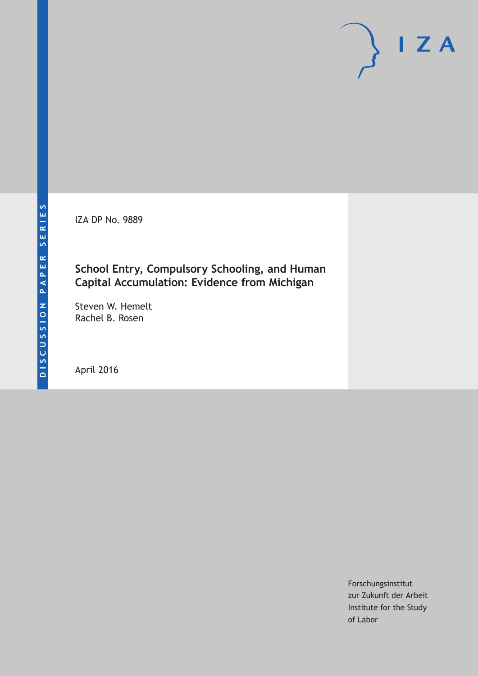IZA DP No. 9889

# **School Entry, Compulsory Schooling, and Human Capital Accumulation: Evidence from Michigan**

Steven W. Hemelt Rachel B. Rosen

April 2016

Forschungsinstitut zur Zukunft der Arbeit Institute for the Study of Labor

 $I Z A$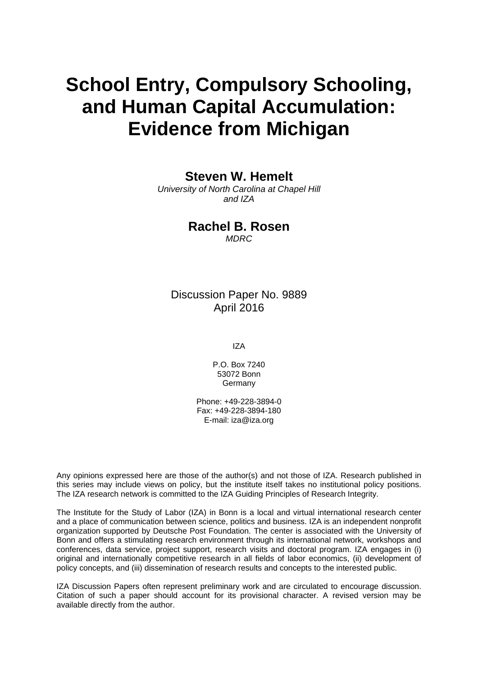# **School Entry, Compulsory Schooling, and Human Capital Accumulation: Evidence from Michigan**

**Steven W. Hemelt** 

*University of North Carolina at Chapel Hill and IZA* 

> **Rachel B. Rosen**  *MDRC*

Discussion Paper No. 9889 April 2016

IZA

P.O. Box 7240 53072 Bonn Germany

Phone: +49-228-3894-0 Fax: +49-228-3894-180 E-mail: iza@iza.org

Any opinions expressed here are those of the author(s) and not those of IZA. Research published in this series may include views on policy, but the institute itself takes no institutional policy positions. The IZA research network is committed to the IZA Guiding Principles of Research Integrity.

The Institute for the Study of Labor (IZA) in Bonn is a local and virtual international research center and a place of communication between science, politics and business. IZA is an independent nonprofit organization supported by Deutsche Post Foundation. The center is associated with the University of Bonn and offers a stimulating research environment through its international network, workshops and conferences, data service, project support, research visits and doctoral program. IZA engages in (i) original and internationally competitive research in all fields of labor economics, (ii) development of policy concepts, and (iii) dissemination of research results and concepts to the interested public.

IZA Discussion Papers often represent preliminary work and are circulated to encourage discussion. Citation of such a paper should account for its provisional character. A revised version may be available directly from the author.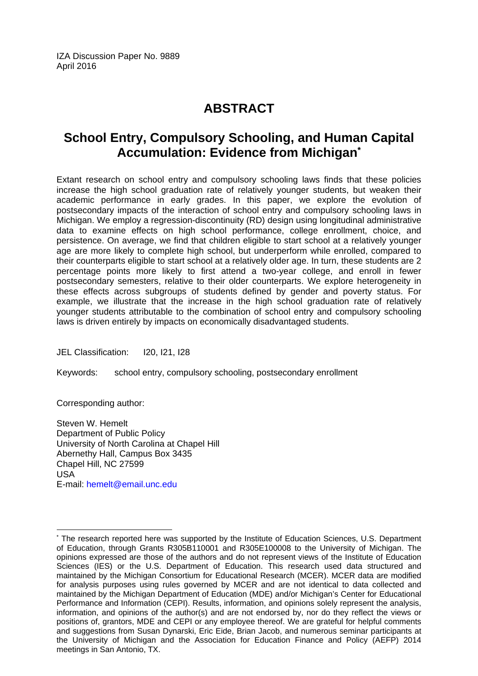IZA Discussion Paper No. 9889 April 2016

# **ABSTRACT**

# **School Entry, Compulsory Schooling, and Human Capital Accumulation: Evidence from Michigan\***

Extant research on school entry and compulsory schooling laws finds that these policies increase the high school graduation rate of relatively younger students, but weaken their academic performance in early grades. In this paper, we explore the evolution of postsecondary impacts of the interaction of school entry and compulsory schooling laws in Michigan. We employ a regression-discontinuity (RD) design using longitudinal administrative data to examine effects on high school performance, college enrollment, choice, and persistence. On average, we find that children eligible to start school at a relatively younger age are more likely to complete high school, but underperform while enrolled, compared to their counterparts eligible to start school at a relatively older age. In turn, these students are 2 percentage points more likely to first attend a two-year college, and enroll in fewer postsecondary semesters, relative to their older counterparts. We explore heterogeneity in these effects across subgroups of students defined by gender and poverty status. For example, we illustrate that the increase in the high school graduation rate of relatively younger students attributable to the combination of school entry and compulsory schooling laws is driven entirely by impacts on economically disadvantaged students.

JEL Classification: I20, I21, I28

Keywords: school entry, compulsory schooling, postsecondary enrollment

Corresponding author:

Steven W. Hemelt Department of Public Policy University of North Carolina at Chapel Hill Abernethy Hall, Campus Box 3435 Chapel Hill, NC 27599 USA E-mail: hemelt@email.unc.edu

 $\overline{a}$ \* The research reported here was supported by the Institute of Education Sciences, U.S. Department of Education, through Grants R305B110001 and R305E100008 to the University of Michigan. The opinions expressed are those of the authors and do not represent views of the Institute of Education Sciences (IES) or the U.S. Department of Education. This research used data structured and maintained by the Michigan Consortium for Educational Research (MCER). MCER data are modified for analysis purposes using rules governed by MCER and are not identical to data collected and maintained by the Michigan Department of Education (MDE) and/or Michigan's Center for Educational Performance and Information (CEPI). Results, information, and opinions solely represent the analysis, information, and opinions of the author(s) and are not endorsed by, nor do they reflect the views or positions of, grantors, MDE and CEPI or any employee thereof. We are grateful for helpful comments and suggestions from Susan Dynarski, Eric Eide, Brian Jacob, and numerous seminar participants at the University of Michigan and the Association for Education Finance and Policy (AEFP) 2014 meetings in San Antonio, TX.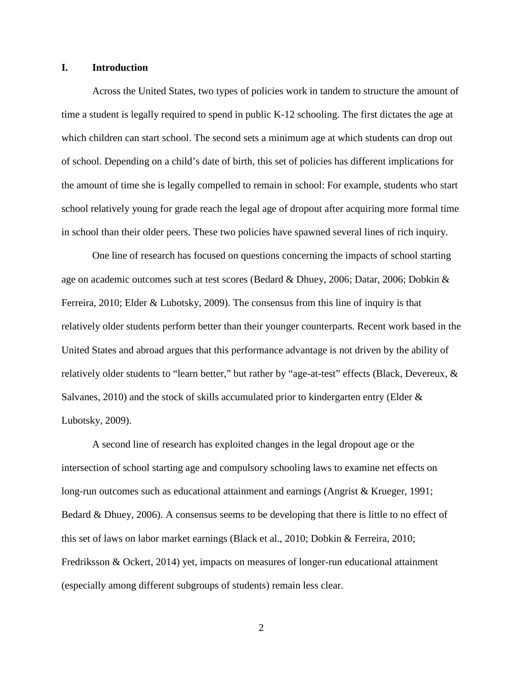### **I. Introduction**

Across the United States, two types of policies work in tandem to structure the amount of time a student is legally required to spend in public K-12 schooling. The first dictates the age at which children can start school. The second sets a minimum age at which students can drop out of school. Depending on a child's date of birth, this set of policies has different implications for the amount of time she is legally compelled to remain in school: For example, students who start school relatively young for grade reach the legal age of dropout after acquiring more formal time in school than their older peers. These two policies have spawned several lines of rich inquiry.

One line of research has focused on questions concerning the impacts of school starting age on academic outcomes such at test scores (Bedard & Dhuey, 2006; Datar, 2006; Dobkin & Ferreira, 2010; Elder & Lubotsky, 2009). The consensus from this line of inquiry is that relatively older students perform better than their younger counterparts. Recent work based in the United States and abroad argues that this performance advantage is not driven by the ability of relatively older students to "learn better," but rather by "age-at-test" effects (Black, Devereux, & Salvanes, 2010) and the stock of skills accumulated prior to kindergarten entry (Elder & Lubotsky, 2009).

A second line of research has exploited changes in the legal dropout age or the intersection of school starting age and compulsory schooling laws to examine net effects on long-run outcomes such as educational attainment and earnings (Angrist & Krueger, 1991; Bedard & Dhuey, 2006). A consensus seems to be developing that there is little to no effect of this set of laws on labor market earnings (Black et al., 2010; Dobkin & Ferreira, 2010; Fredriksson & Ockert, 2014) yet, impacts on measures of longer-run educational attainment (especially among different subgroups of students) remain less clear.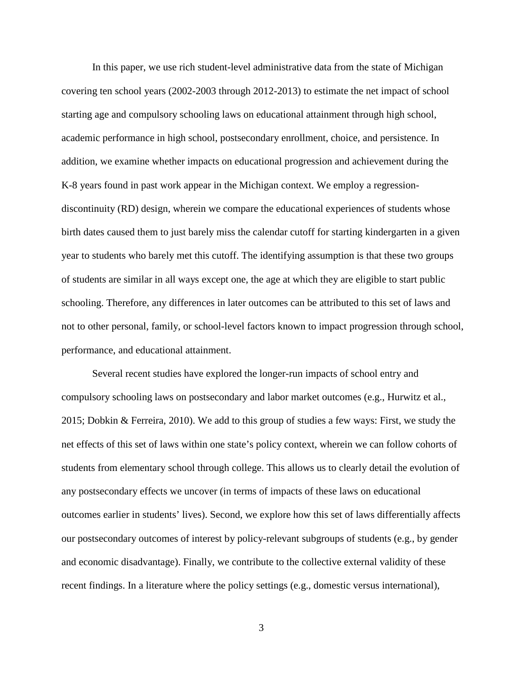In this paper, we use rich student-level administrative data from the state of Michigan covering ten school years (2002-2003 through 2012-2013) to estimate the net impact of school starting age and compulsory schooling laws on educational attainment through high school, academic performance in high school, postsecondary enrollment, choice, and persistence. In addition, we examine whether impacts on educational progression and achievement during the K-8 years found in past work appear in the Michigan context. We employ a regressiondiscontinuity (RD) design, wherein we compare the educational experiences of students whose birth dates caused them to just barely miss the calendar cutoff for starting kindergarten in a given year to students who barely met this cutoff. The identifying assumption is that these two groups of students are similar in all ways except one, the age at which they are eligible to start public schooling. Therefore, any differences in later outcomes can be attributed to this set of laws and not to other personal, family, or school-level factors known to impact progression through school, performance, and educational attainment.

Several recent studies have explored the longer-run impacts of school entry and compulsory schooling laws on postsecondary and labor market outcomes (e.g., Hurwitz et al., 2015; Dobkin & Ferreira, 2010). We add to this group of studies a few ways: First, we study the net effects of this set of laws within one state's policy context, wherein we can follow cohorts of students from elementary school through college. This allows us to clearly detail the evolution of any postsecondary effects we uncover (in terms of impacts of these laws on educational outcomes earlier in students' lives). Second, we explore how this set of laws differentially affects our postsecondary outcomes of interest by policy-relevant subgroups of students (e.g., by gender and economic disadvantage). Finally, we contribute to the collective external validity of these recent findings. In a literature where the policy settings (e.g., domestic versus international),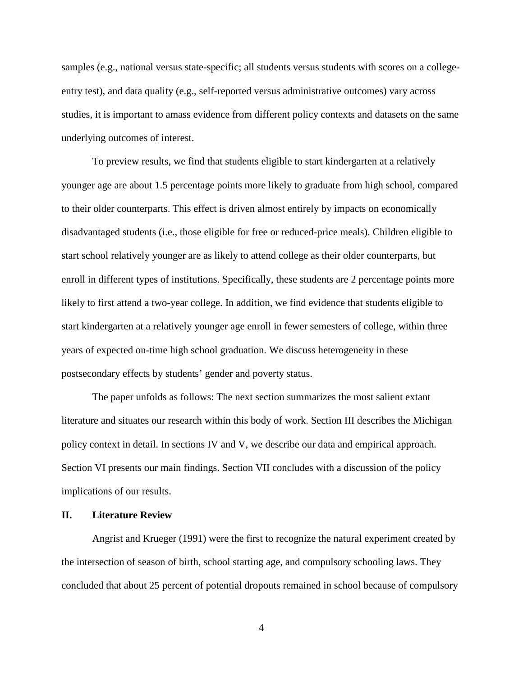samples (e.g., national versus state-specific; all students versus students with scores on a collegeentry test), and data quality (e.g., self-reported versus administrative outcomes) vary across studies, it is important to amass evidence from different policy contexts and datasets on the same underlying outcomes of interest.

To preview results, we find that students eligible to start kindergarten at a relatively younger age are about 1.5 percentage points more likely to graduate from high school, compared to their older counterparts. This effect is driven almost entirely by impacts on economically disadvantaged students (i.e., those eligible for free or reduced-price meals). Children eligible to start school relatively younger are as likely to attend college as their older counterparts, but enroll in different types of institutions. Specifically, these students are 2 percentage points more likely to first attend a two-year college. In addition, we find evidence that students eligible to start kindergarten at a relatively younger age enroll in fewer semesters of college, within three years of expected on-time high school graduation. We discuss heterogeneity in these postsecondary effects by students' gender and poverty status.

The paper unfolds as follows: The next section summarizes the most salient extant literature and situates our research within this body of work. Section III describes the Michigan policy context in detail. In sections IV and V, we describe our data and empirical approach. Section VI presents our main findings. Section VII concludes with a discussion of the policy implications of our results.

#### **II. Literature Review**

Angrist and Krueger (1991) were the first to recognize the natural experiment created by the intersection of season of birth, school starting age, and compulsory schooling laws. They concluded that about 25 percent of potential dropouts remained in school because of compulsory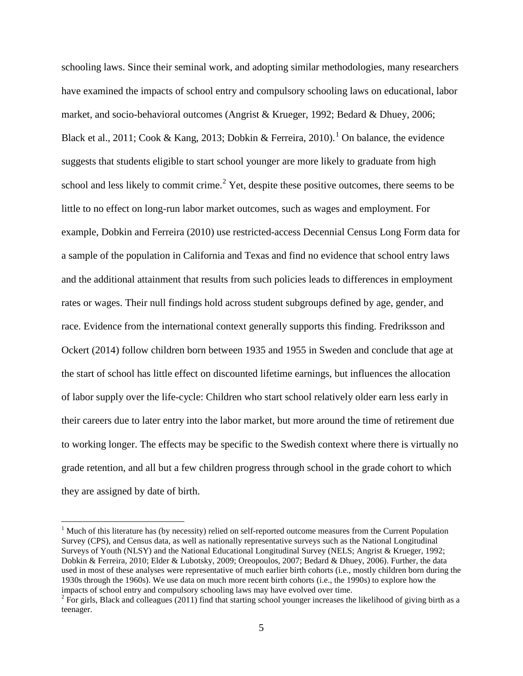schooling laws. Since their seminal work, and adopting similar methodologies, many researchers have examined the impacts of school entry and compulsory schooling laws on educational, labor market, and socio-behavioral outcomes (Angrist & Krueger, 1992; Bedard & Dhuey, 2006; Black et al., 20[1](#page-6-0)1; Cook & Kang, 2013; Dobkin & Ferreira, 2010).<sup>1</sup> On balance, the evidence suggests that students eligible to start school younger are more likely to graduate from high school and less likely to commit crime.<sup>[2](#page-6-1)</sup> Yet, despite these positive outcomes, there seems to be little to no effect on long-run labor market outcomes, such as wages and employment. For example, Dobkin and Ferreira (2010) use restricted-access Decennial Census Long Form data for a sample of the population in California and Texas and find no evidence that school entry laws and the additional attainment that results from such policies leads to differences in employment rates or wages. Their null findings hold across student subgroups defined by age, gender, and race. Evidence from the international context generally supports this finding. Fredriksson and Ockert (2014) follow children born between 1935 and 1955 in Sweden and conclude that age at the start of school has little effect on discounted lifetime earnings, but influences the allocation of labor supply over the life-cycle: Children who start school relatively older earn less early in their careers due to later entry into the labor market, but more around the time of retirement due to working longer. The effects may be specific to the Swedish context where there is virtually no grade retention, and all but a few children progress through school in the grade cohort to which they are assigned by date of birth.

<span id="page-6-0"></span><sup>&</sup>lt;sup>1</sup> Much of this literature has (by necessity) relied on self-reported outcome measures from the Current Population Survey (CPS), and Census data, as well as nationally representative surveys such as the National Longitudinal Surveys of Youth (NLSY) and the National Educational Longitudinal Survey (NELS; Angrist & Krueger, 1992; Dobkin & Ferreira, 2010; Elder & Lubotsky, 2009; Oreopoulos, 2007; Bedard & Dhuey, 2006). Further, the data used in most of these analyses were representative of much earlier birth cohorts (i.e., mostly children born during the 1930s through the 1960s). We use data on much more recent birth cohorts (i.e., the 1990s) to explore how the impacts of school entry and compulsory schooling laws may have evolved over time.

<span id="page-6-1"></span> $2$  For girls, Black and colleagues (2011) find that starting school younger increases the likelihood of giving birth as a teenager.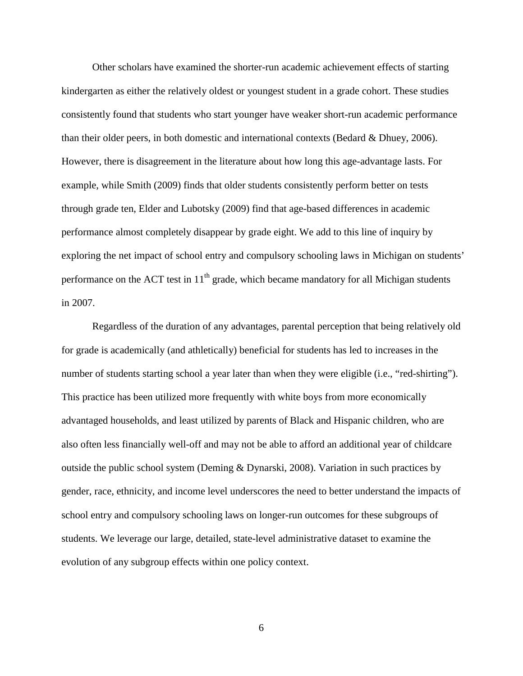Other scholars have examined the shorter-run academic achievement effects of starting kindergarten as either the relatively oldest or youngest student in a grade cohort. These studies consistently found that students who start younger have weaker short-run academic performance than their older peers, in both domestic and international contexts (Bedard & Dhuey, 2006). However, there is disagreement in the literature about how long this age-advantage lasts. For example, while Smith (2009) finds that older students consistently perform better on tests through grade ten, Elder and Lubotsky (2009) find that age-based differences in academic performance almost completely disappear by grade eight. We add to this line of inquiry by exploring the net impact of school entry and compulsory schooling laws in Michigan on students' performance on the ACT test in  $11<sup>th</sup>$  grade, which became mandatory for all Michigan students in 2007.

Regardless of the duration of any advantages, parental perception that being relatively old for grade is academically (and athletically) beneficial for students has led to increases in the number of students starting school a year later than when they were eligible (i.e., "red-shirting"). This practice has been utilized more frequently with white boys from more economically advantaged households, and least utilized by parents of Black and Hispanic children, who are also often less financially well-off and may not be able to afford an additional year of childcare outside the public school system (Deming & Dynarski, 2008). Variation in such practices by gender, race, ethnicity, and income level underscores the need to better understand the impacts of school entry and compulsory schooling laws on longer-run outcomes for these subgroups of students. We leverage our large, detailed, state-level administrative dataset to examine the evolution of any subgroup effects within one policy context.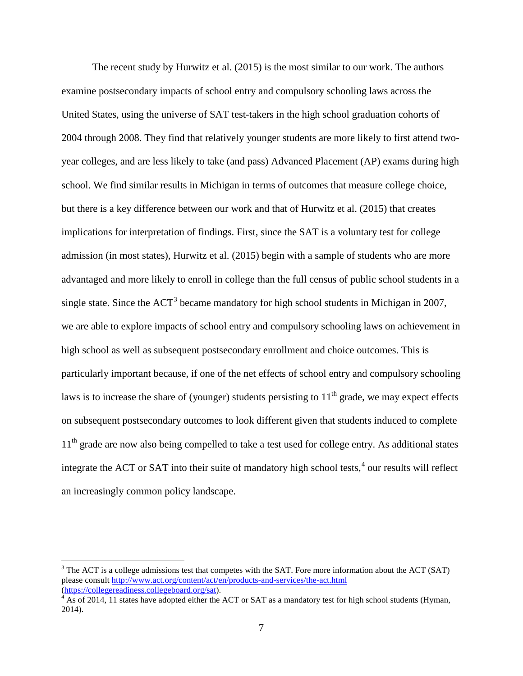The recent study by Hurwitz et al. (2015) is the most similar to our work. The authors examine postsecondary impacts of school entry and compulsory schooling laws across the United States, using the universe of SAT test-takers in the high school graduation cohorts of 2004 through 2008. They find that relatively younger students are more likely to first attend twoyear colleges, and are less likely to take (and pass) Advanced Placement (AP) exams during high school. We find similar results in Michigan in terms of outcomes that measure college choice, but there is a key difference between our work and that of Hurwitz et al. (2015) that creates implications for interpretation of findings. First, since the SAT is a voluntary test for college admission (in most states), Hurwitz et al. (2015) begin with a sample of students who are more advantaged and more likely to enroll in college than the full census of public school students in a single state. Since the  $ACT<sup>3</sup>$  $ACT<sup>3</sup>$  $ACT<sup>3</sup>$  became mandatory for high school students in Michigan in 2007, we are able to explore impacts of school entry and compulsory schooling laws on achievement in high school as well as subsequent postsecondary enrollment and choice outcomes. This is particularly important because, if one of the net effects of school entry and compulsory schooling laws is to increase the share of (younger) students persisting to  $11<sup>th</sup>$  grade, we may expect effects on subsequent postsecondary outcomes to look different given that students induced to complete 11<sup>th</sup> grade are now also being compelled to take a test used for college entry. As additional states integrate the ACT or SAT into their suite of mandatory high school tests, $4$  our results will reflect an increasingly common policy landscape.

<span id="page-8-0"></span><sup>&</sup>lt;sup>3</sup> The ACT is a college admissions test that competes with the SAT. Fore more information about the ACT (SAT) please consult<http://www.act.org/content/act/en/products-and-services/the-act.html> [\(https://collegereadiness.collegeboard.org/sat\)](https://collegereadiness.collegeboard.org/sat).<br><sup>[4](https://collegereadiness.collegeboard.org/sat)</sup> As of 2014, 11 states have adopted either the ACT or SAT as a mandatory test for high school students (Hyman,

<span id="page-8-1"></span><sup>2014).</sup>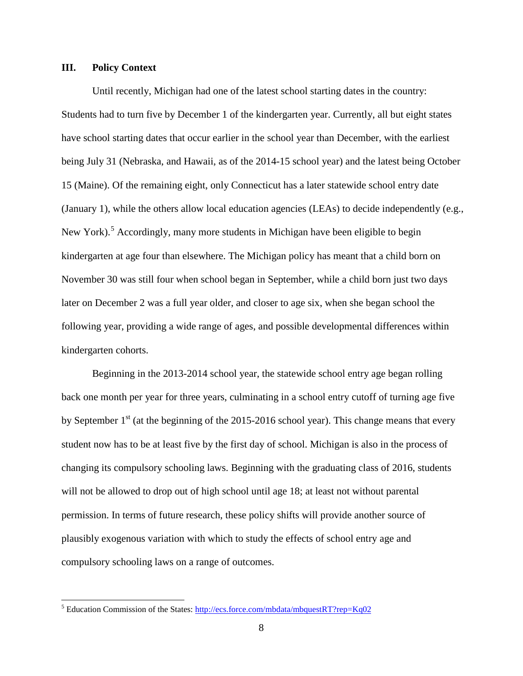# **III. Policy Context**

Until recently, Michigan had one of the latest school starting dates in the country: Students had to turn five by December 1 of the kindergarten year. Currently, all but eight states have school starting dates that occur earlier in the school year than December, with the earliest being July 31 (Nebraska, and Hawaii, as of the 2014-15 school year) and the latest being October 15 (Maine). Of the remaining eight, only Connecticut has a later statewide school entry date (January 1), while the others allow local education agencies (LEAs) to decide independently (e.g., New York).<sup>[5](#page-9-0)</sup> Accordingly, many more students in Michigan have been eligible to begin kindergarten at age four than elsewhere. The Michigan policy has meant that a child born on November 30 was still four when school began in September, while a child born just two days later on December 2 was a full year older, and closer to age six, when she began school the following year, providing a wide range of ages, and possible developmental differences within kindergarten cohorts.

Beginning in the 2013-2014 school year, the statewide school entry age began rolling back one month per year for three years, culminating in a school entry cutoff of turning age five by September  $1<sup>st</sup>$  (at the beginning of the 2015-2016 school year). This change means that every student now has to be at least five by the first day of school. Michigan is also in the process of changing its compulsory schooling laws. Beginning with the graduating class of 2016, students will not be allowed to drop out of high school until age 18; at least not without parental permission. In terms of future research, these policy shifts will provide another source of plausibly exogenous variation with which to study the effects of school entry age and compulsory schooling laws on a range of outcomes.

<span id="page-9-0"></span> $<sup>5</sup>$  Education Commission of the States:<http://ecs.force.com/mbdata/mbquestRT?rep=Kq02></sup>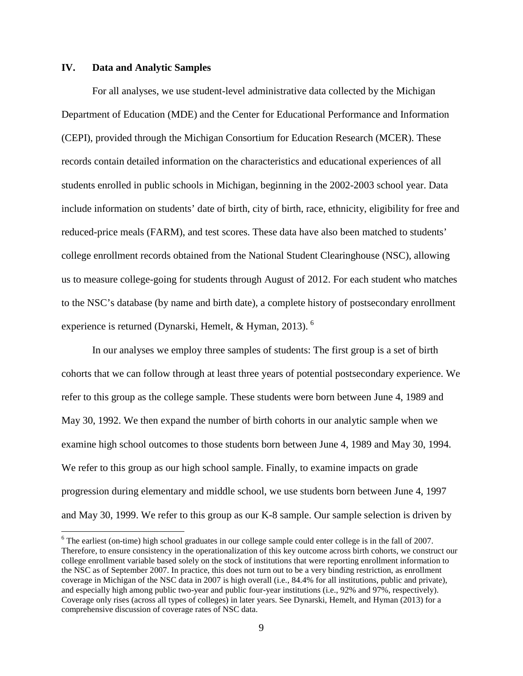#### **IV. Data and Analytic Samples**

For all analyses, we use student-level administrative data collected by the Michigan Department of Education (MDE) and the Center for Educational Performance and Information (CEPI), provided through the Michigan Consortium for Education Research (MCER). These records contain detailed information on the characteristics and educational experiences of all students enrolled in public schools in Michigan, beginning in the 2002-2003 school year. Data include information on students' date of birth, city of birth, race, ethnicity, eligibility for free and reduced-price meals (FARM), and test scores. These data have also been matched to students' college enrollment records obtained from the National Student Clearinghouse (NSC), allowing us to measure college-going for students through August of 2012. For each student who matches to the NSC's database (by name and birth date), a complete history of postsecondary enrollment experience is returned (Dynarski, Hemelt, & Hyman, 2013). <sup>[6](#page-10-0)</sup>

In our analyses we employ three samples of students: The first group is a set of birth cohorts that we can follow through at least three years of potential postsecondary experience. We refer to this group as the college sample. These students were born between June 4, 1989 and May 30, 1992. We then expand the number of birth cohorts in our analytic sample when we examine high school outcomes to those students born between June 4, 1989 and May 30, 1994. We refer to this group as our high school sample. Finally, to examine impacts on grade progression during elementary and middle school, we use students born between June 4, 1997 and May 30, 1999. We refer to this group as our K-8 sample. Our sample selection is driven by

<span id="page-10-0"></span> $6$  The earliest (on-time) high school graduates in our college sample could enter college is in the fall of 2007. Therefore, to ensure consistency in the operationalization of this key outcome across birth cohorts, we construct our college enrollment variable based solely on the stock of institutions that were reporting enrollment information to the NSC as of September 2007. In practice, this does not turn out to be a very binding restriction, as enrollment coverage in Michigan of the NSC data in 2007 is high overall (i.e., 84.4% for all institutions, public and private), and especially high among public two-year and public four-year institutions (i.e., 92% and 97%, respectively). Coverage only rises (across all types of colleges) in later years. See Dynarski, Hemelt, and Hyman (2013) for a comprehensive discussion of coverage rates of NSC data.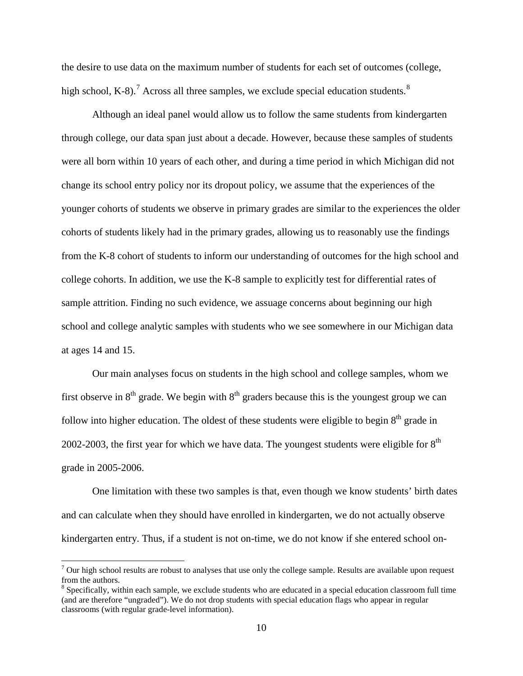the desire to use data on the maximum number of students for each set of outcomes (college, high school, K-8).<sup>[7](#page-11-0)</sup> Across all three samples, we exclude special education students.<sup>[8](#page-11-1)</sup>

Although an ideal panel would allow us to follow the same students from kindergarten through college, our data span just about a decade. However, because these samples of students were all born within 10 years of each other, and during a time period in which Michigan did not change its school entry policy nor its dropout policy, we assume that the experiences of the younger cohorts of students we observe in primary grades are similar to the experiences the older cohorts of students likely had in the primary grades, allowing us to reasonably use the findings from the K-8 cohort of students to inform our understanding of outcomes for the high school and college cohorts. In addition, we use the K-8 sample to explicitly test for differential rates of sample attrition. Finding no such evidence, we assuage concerns about beginning our high school and college analytic samples with students who we see somewhere in our Michigan data at ages 14 and 15.

Our main analyses focus on students in the high school and college samples, whom we first observe in  $8<sup>th</sup>$  grade. We begin with  $8<sup>th</sup>$  graders because this is the youngest group we can follow into higher education. The oldest of these students were eligible to begin  $8<sup>th</sup>$  grade in 2002-2003, the first year for which we have data. The youngest students were eligible for  $8<sup>th</sup>$ grade in 2005-2006.

One limitation with these two samples is that, even though we know students' birth dates and can calculate when they should have enrolled in kindergarten, we do not actually observe kindergarten entry. Thus, if a student is not on-time, we do not know if she entered school on-

<span id="page-11-0"></span> $<sup>7</sup>$  Our high school results are robust to analyses that use only the college sample. Results are available upon request</sup> from the authors.

<span id="page-11-1"></span><sup>&</sup>lt;sup>8</sup> Specifically, within each sample, we exclude students who are educated in a special education classroom full time (and are therefore "ungraded"). We do not drop students with special education flags who appear in regular classrooms (with regular grade-level information).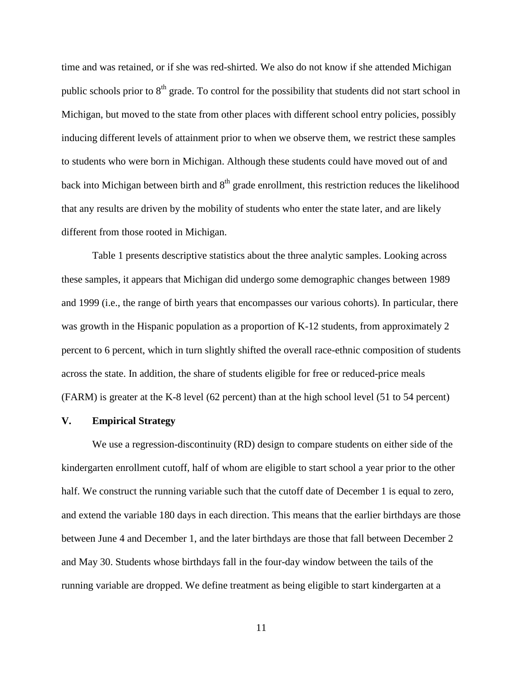time and was retained, or if she was red-shirted. We also do not know if she attended Michigan public schools prior to  $8<sup>th</sup>$  grade. To control for the possibility that students did not start school in Michigan, but moved to the state from other places with different school entry policies, possibly inducing different levels of attainment prior to when we observe them, we restrict these samples to students who were born in Michigan. Although these students could have moved out of and back into Michigan between birth and  $8<sup>th</sup>$  grade enrollment, this restriction reduces the likelihood that any results are driven by the mobility of students who enter the state later, and are likely different from those rooted in Michigan.

Table 1 presents descriptive statistics about the three analytic samples. Looking across these samples, it appears that Michigan did undergo some demographic changes between 1989 and 1999 (i.e., the range of birth years that encompasses our various cohorts). In particular, there was growth in the Hispanic population as a proportion of K-12 students, from approximately 2 percent to 6 percent, which in turn slightly shifted the overall race-ethnic composition of students across the state. In addition, the share of students eligible for free or reduced-price meals (FARM) is greater at the K-8 level (62 percent) than at the high school level (51 to 54 percent)

#### **V. Empirical Strategy**

We use a regression-discontinuity (RD) design to compare students on either side of the kindergarten enrollment cutoff, half of whom are eligible to start school a year prior to the other half. We construct the running variable such that the cutoff date of December 1 is equal to zero, and extend the variable 180 days in each direction. This means that the earlier birthdays are those between June 4 and December 1, and the later birthdays are those that fall between December 2 and May 30. Students whose birthdays fall in the four-day window between the tails of the running variable are dropped. We define treatment as being eligible to start kindergarten at a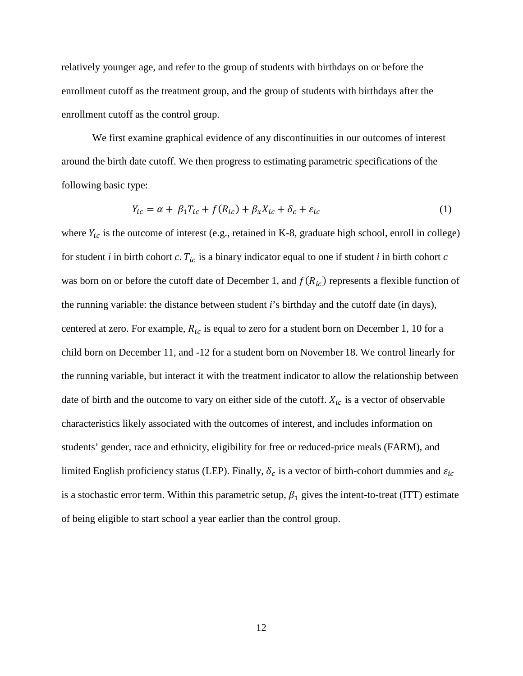relatively younger age, and refer to the group of students with birthdays on or before the enrollment cutoff as the treatment group, and the group of students with birthdays after the enrollment cutoff as the control group.

We first examine graphical evidence of any discontinuities in our outcomes of interest around the birth date cutoff. We then progress to estimating parametric specifications of the following basic type:

$$
Y_{ic} = \alpha + \beta_1 T_{ic} + f(R_{ic}) + \beta_x X_{ic} + \delta_c + \varepsilon_{ic}
$$
 (1)

where  $Y_{ic}$  is the outcome of interest (e.g., retained in K-8, graduate high school, enroll in college) for student *i* in birth cohort *c*.  $T_{ic}$  is a binary indicator equal to one if student *i* in birth cohort *c* was born on or before the cutoff date of December 1, and  $f(R_{ic})$  represents a flexible function of the running variable: the distance between student *i*'s birthday and the cutoff date (in days), centered at zero. For example,  $R_{ic}$  is equal to zero for a student born on December 1, 10 for a child born on December 11, and -12 for a student born on November 18. We control linearly for the running variable, but interact it with the treatment indicator to allow the relationship between date of birth and the outcome to vary on either side of the cutoff.  $X_{ic}$  is a vector of observable characteristics likely associated with the outcomes of interest, and includes information on students' gender, race and ethnicity, eligibility for free or reduced-price meals (FARM), and limited English proficiency status (LEP). Finally,  $\delta_c$  is a vector of birth-cohort dummies and  $\varepsilon_{ic}$ is a stochastic error term. Within this parametric setup,  $\beta_1$  gives the intent-to-treat (ITT) estimate of being eligible to start school a year earlier than the control group.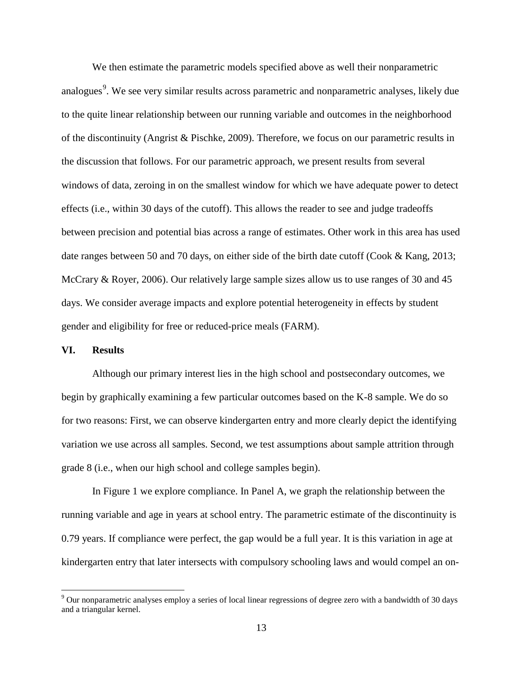We then estimate the parametric models specified above as well their nonparametric analogues<sup>[9](#page-14-0)</sup>. We see very similar results across parametric and nonparametric analyses, likely due to the quite linear relationship between our running variable and outcomes in the neighborhood of the discontinuity (Angrist & Pischke, 2009). Therefore, we focus on our parametric results in the discussion that follows. For our parametric approach, we present results from several windows of data, zeroing in on the smallest window for which we have adequate power to detect effects (i.e., within 30 days of the cutoff). This allows the reader to see and judge tradeoffs between precision and potential bias across a range of estimates. Other work in this area has used date ranges between 50 and 70 days, on either side of the birth date cutoff (Cook & Kang, 2013; McCrary & Royer, 2006). Our relatively large sample sizes allow us to use ranges of 30 and 45 days. We consider average impacts and explore potential heterogeneity in effects by student gender and eligibility for free or reduced-price meals (FARM).

#### **VI. Results**

Although our primary interest lies in the high school and postsecondary outcomes, we begin by graphically examining a few particular outcomes based on the K-8 sample. We do so for two reasons: First, we can observe kindergarten entry and more clearly depict the identifying variation we use across all samples. Second, we test assumptions about sample attrition through grade 8 (i.e., when our high school and college samples begin).

In Figure 1 we explore compliance. In Panel A, we graph the relationship between the running variable and age in years at school entry. The parametric estimate of the discontinuity is 0.79 years. If compliance were perfect, the gap would be a full year. It is this variation in age at kindergarten entry that later intersects with compulsory schooling laws and would compel an on-

<span id="page-14-0"></span><sup>9</sup> Our nonparametric analyses employ a series of local linear regressions of degree zero with a bandwidth of 30 days and a triangular kernel.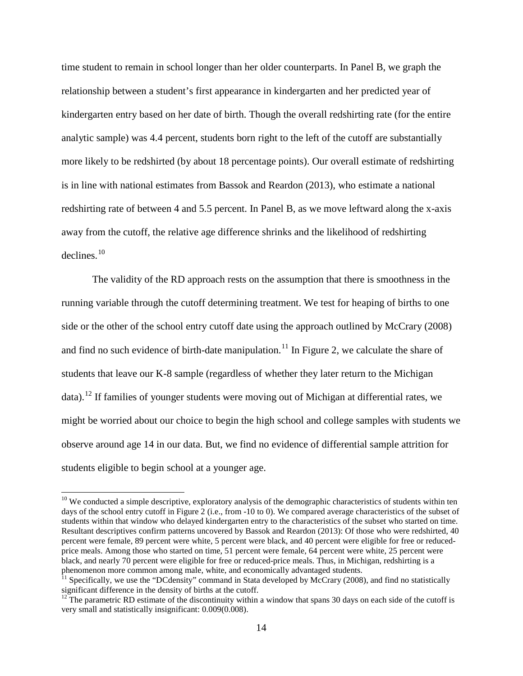time student to remain in school longer than her older counterparts. In Panel B, we graph the relationship between a student's first appearance in kindergarten and her predicted year of kindergarten entry based on her date of birth. Though the overall redshirting rate (for the entire analytic sample) was 4.4 percent, students born right to the left of the cutoff are substantially more likely to be redshirted (by about 18 percentage points). Our overall estimate of redshirting is in line with national estimates from Bassok and Reardon (2013), who estimate a national redshirting rate of between 4 and 5.5 percent. In Panel B, as we move leftward along the x-axis away from the cutoff, the relative age difference shrinks and the likelihood of redshirting  $declines.$ <sup>[10](#page-15-0)</sup>

The validity of the RD approach rests on the assumption that there is smoothness in the running variable through the cutoff determining treatment. We test for heaping of births to one side or the other of the school entry cutoff date using the approach outlined by McCrary (2008) and find no such evidence of birth-date manipulation.<sup>[11](#page-15-1)</sup> In Figure 2, we calculate the share of students that leave our K-8 sample (regardless of whether they later return to the Michigan data).<sup>[12](#page-15-2)</sup> If families of younger students were moving out of Michigan at differential rates, we might be worried about our choice to begin the high school and college samples with students we observe around age 14 in our data. But, we find no evidence of differential sample attrition for students eligible to begin school at a younger age.

<span id="page-15-0"></span> $10$  We conducted a simple descriptive, exploratory analysis of the demographic characteristics of students within ten days of the school entry cutoff in Figure 2 (i.e., from -10 to 0). We compared average characteristics of the subset of students within that window who delayed kindergarten entry to the characteristics of the subset who started on time. Resultant descriptives confirm patterns uncovered by Bassok and Reardon (2013): Of those who were redshirted, 40 percent were female, 89 percent were white, 5 percent were black, and 40 percent were eligible for free or reducedprice meals. Among those who started on time, 51 percent were female, 64 percent were white, 25 percent were black, and nearly 70 percent were eligible for free or reduced-price meals. Thus, in Michigan, redshirting is a phenomenon more common among male, white, and economically advantaged students.

<span id="page-15-1"></span> $<sup>11</sup>$  Specifically, we use the "DCdensity" command in Stata developed by McCrary (2008), and find no statistically</sup> significant difference in the density of births at the cutoff.

<span id="page-15-2"></span> $12$ <sup>12</sup> The parametric RD estimate of the discontinuity within a window that spans 30 days on each side of the cutoff is very small and statistically insignificant: 0.009(0.008).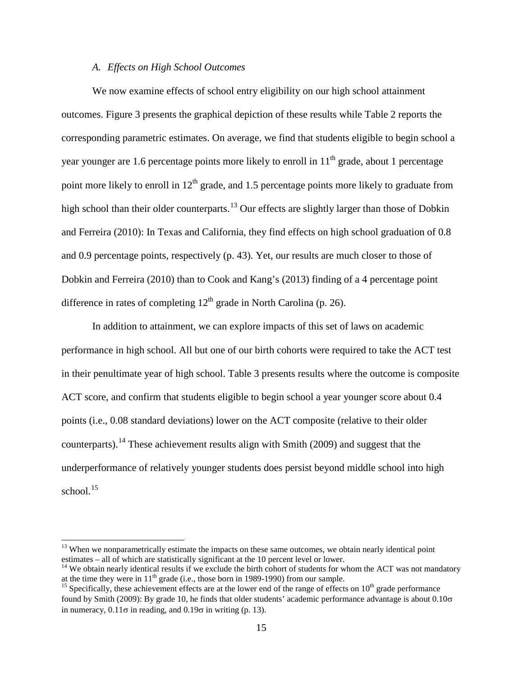### *A. Effects on High School Outcomes*

We now examine effects of school entry eligibility on our high school attainment outcomes. Figure 3 presents the graphical depiction of these results while Table 2 reports the corresponding parametric estimates. On average, we find that students eligible to begin school a year younger are 1.6 percentage points more likely to enroll in  $11<sup>th</sup>$  grade, about 1 percentage point more likely to enroll in  $12<sup>th</sup>$  grade, and 1.5 percentage points more likely to graduate from high school than their older counterparts.<sup>[13](#page-16-0)</sup> Our effects are slightly larger than those of Dobkin and Ferreira (2010): In Texas and California, they find effects on high school graduation of 0.8 and 0.9 percentage points, respectively (p. 43). Yet, our results are much closer to those of Dobkin and Ferreira (2010) than to Cook and Kang's (2013) finding of a 4 percentage point difference in rates of completing  $12<sup>th</sup>$  grade in North Carolina (p. 26).

In addition to attainment, we can explore impacts of this set of laws on academic performance in high school. All but one of our birth cohorts were required to take the ACT test in their penultimate year of high school. Table 3 presents results where the outcome is composite ACT score, and confirm that students eligible to begin school a year younger score about 0.4 points (i.e., 0.08 standard deviations) lower on the ACT composite (relative to their older counterparts).[14](#page-16-1) These achievement results align with Smith (2009) and suggest that the underperformance of relatively younger students does persist beyond middle school into high school. $15$ 

<span id="page-16-0"></span><sup>&</sup>lt;sup>13</sup> When we nonparametrically estimate the impacts on these same outcomes, we obtain nearly identical point estimates  $-$  all of which are statistically significant at the 10 percent level or lower.

<span id="page-16-1"></span><sup>&</sup>lt;sup>14</sup> We obtain nearly identical results if we exclude the birth cohort of students for whom the ACT was not mandatory at the time they were in  $11<sup>th</sup>$  grade (i.e., those born in 1989-1990) from our sample.

<span id="page-16-2"></span><sup>&</sup>lt;sup>15</sup> Specifically, these achievement effects are at the lower end of the range of effects on  $10<sup>th</sup>$  grade performance found by Smith (2009): By grade 10, he finds that older students' academic performance advantage is about  $0.10\sigma$ in numeracy,  $0.11\sigma$  in reading, and  $0.19\sigma$  in writing (p. 13).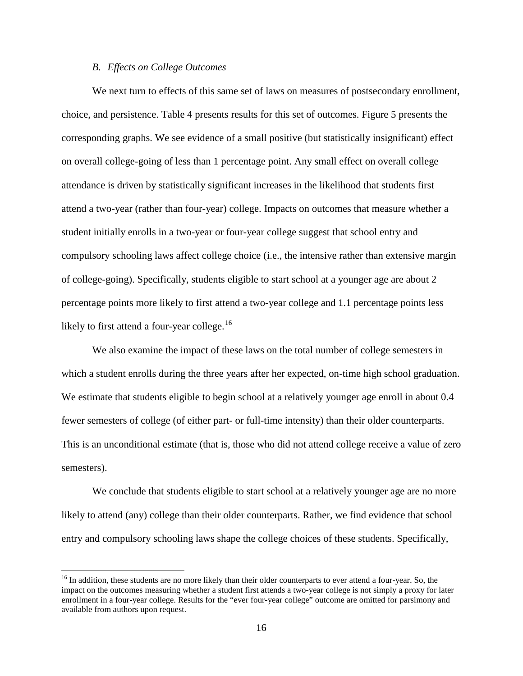#### *B. Effects on College Outcomes*

We next turn to effects of this same set of laws on measures of postsecondary enrollment, choice, and persistence. Table 4 presents results for this set of outcomes. Figure 5 presents the corresponding graphs. We see evidence of a small positive (but statistically insignificant) effect on overall college-going of less than 1 percentage point. Any small effect on overall college attendance is driven by statistically significant increases in the likelihood that students first attend a two-year (rather than four-year) college. Impacts on outcomes that measure whether a student initially enrolls in a two-year or four-year college suggest that school entry and compulsory schooling laws affect college choice (i.e., the intensive rather than extensive margin of college-going). Specifically, students eligible to start school at a younger age are about 2 percentage points more likely to first attend a two-year college and 1.1 percentage points less likely to first attend a four-year college. $16$ 

We also examine the impact of these laws on the total number of college semesters in which a student enrolls during the three years after her expected, on-time high school graduation. We estimate that students eligible to begin school at a relatively younger age enroll in about 0.4 fewer semesters of college (of either part- or full-time intensity) than their older counterparts. This is an unconditional estimate (that is, those who did not attend college receive a value of zero semesters).

We conclude that students eligible to start school at a relatively younger age are no more likely to attend (any) college than their older counterparts. Rather, we find evidence that school entry and compulsory schooling laws shape the college choices of these students. Specifically,

<span id="page-17-0"></span><sup>&</sup>lt;sup>16</sup> In addition, these students are no more likely than their older counterparts to ever attend a four-year. So, the impact on the outcomes measuring whether a student first attends a two-year college is not simply a proxy for later enrollment in a four-year college. Results for the "ever four-year college" outcome are omitted for parsimony and available from authors upon request.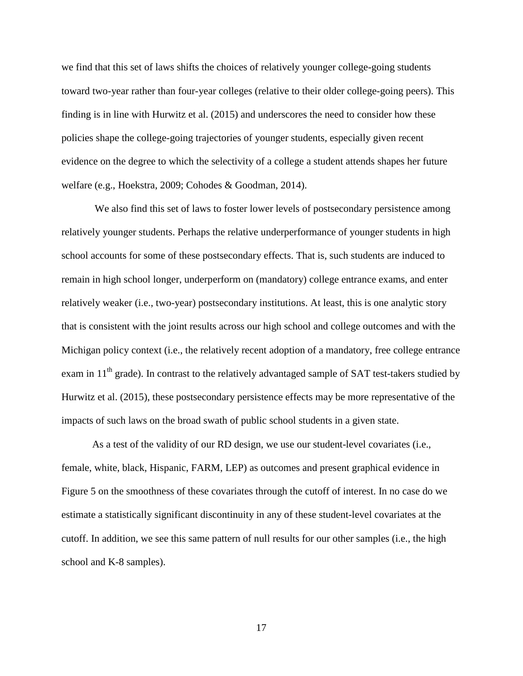we find that this set of laws shifts the choices of relatively younger college-going students toward two-year rather than four-year colleges (relative to their older college-going peers). This finding is in line with Hurwitz et al. (2015) and underscores the need to consider how these policies shape the college-going trajectories of younger students, especially given recent evidence on the degree to which the selectivity of a college a student attends shapes her future welfare (e.g., Hoekstra, 2009; Cohodes & Goodman, 2014).

We also find this set of laws to foster lower levels of postsecondary persistence among relatively younger students. Perhaps the relative underperformance of younger students in high school accounts for some of these postsecondary effects. That is, such students are induced to remain in high school longer, underperform on (mandatory) college entrance exams, and enter relatively weaker (i.e., two-year) postsecondary institutions. At least, this is one analytic story that is consistent with the joint results across our high school and college outcomes and with the Michigan policy context (i.e., the relatively recent adoption of a mandatory, free college entrance exam in  $11<sup>th</sup>$  grade). In contrast to the relatively advantaged sample of SAT test-takers studied by Hurwitz et al. (2015), these postsecondary persistence effects may be more representative of the impacts of such laws on the broad swath of public school students in a given state.

As a test of the validity of our RD design, we use our student-level covariates (i.e., female, white, black, Hispanic, FARM, LEP) as outcomes and present graphical evidence in Figure 5 on the smoothness of these covariates through the cutoff of interest. In no case do we estimate a statistically significant discontinuity in any of these student-level covariates at the cutoff. In addition, we see this same pattern of null results for our other samples (i.e., the high school and K-8 samples).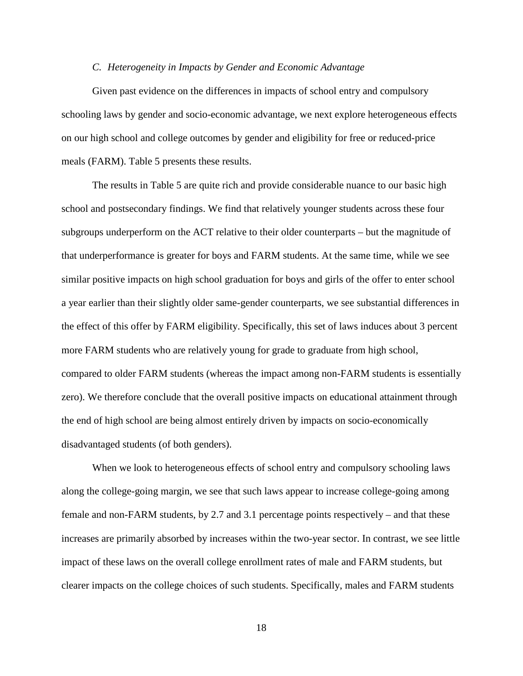#### *C. Heterogeneity in Impacts by Gender and Economic Advantage*

Given past evidence on the differences in impacts of school entry and compulsory schooling laws by gender and socio-economic advantage, we next explore heterogeneous effects on our high school and college outcomes by gender and eligibility for free or reduced-price meals (FARM). Table 5 presents these results.

The results in Table 5 are quite rich and provide considerable nuance to our basic high school and postsecondary findings. We find that relatively younger students across these four subgroups underperform on the ACT relative to their older counterparts – but the magnitude of that underperformance is greater for boys and FARM students. At the same time, while we see similar positive impacts on high school graduation for boys and girls of the offer to enter school a year earlier than their slightly older same-gender counterparts, we see substantial differences in the effect of this offer by FARM eligibility. Specifically, this set of laws induces about 3 percent more FARM students who are relatively young for grade to graduate from high school, compared to older FARM students (whereas the impact among non-FARM students is essentially zero). We therefore conclude that the overall positive impacts on educational attainment through the end of high school are being almost entirely driven by impacts on socio-economically disadvantaged students (of both genders).

When we look to heterogeneous effects of school entry and compulsory schooling laws along the college-going margin, we see that such laws appear to increase college-going among female and non-FARM students, by 2.7 and 3.1 percentage points respectively – and that these increases are primarily absorbed by increases within the two-year sector. In contrast, we see little impact of these laws on the overall college enrollment rates of male and FARM students, but clearer impacts on the college choices of such students. Specifically, males and FARM students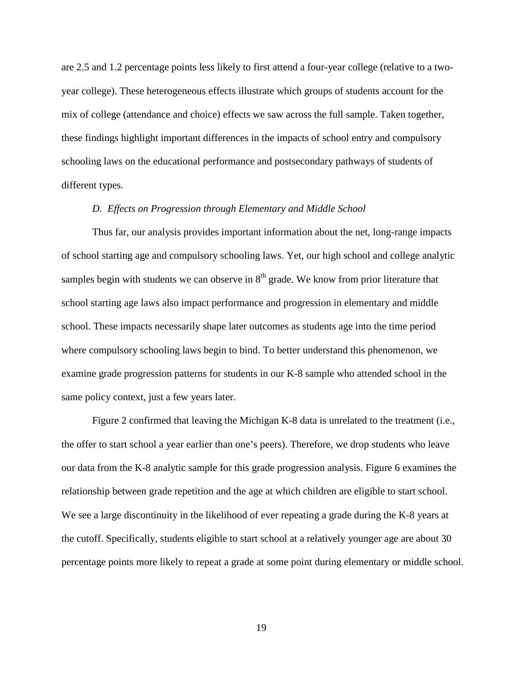are 2.5 and 1.2 percentage points less likely to first attend a four-year college (relative to a twoyear college). These heterogeneous effects illustrate which groups of students account for the mix of college (attendance and choice) effects we saw across the full sample. Taken together, these findings highlight important differences in the impacts of school entry and compulsory schooling laws on the educational performance and postsecondary pathways of students of different types.

### *D. Effects on Progression through Elementary and Middle School*

Thus far, our analysis provides important information about the net, long-range impacts of school starting age and compulsory schooling laws. Yet, our high school and college analytic samples begin with students we can observe in  $8<sup>th</sup>$  grade. We know from prior literature that school starting age laws also impact performance and progression in elementary and middle school. These impacts necessarily shape later outcomes as students age into the time period where compulsory schooling laws begin to bind. To better understand this phenomenon, we examine grade progression patterns for students in our K-8 sample who attended school in the same policy context, just a few years later.

Figure 2 confirmed that leaving the Michigan K-8 data is unrelated to the treatment (i.e., the offer to start school a year earlier than one's peers). Therefore, we drop students who leave our data from the K-8 analytic sample for this grade progression analysis. Figure 6 examines the relationship between grade repetition and the age at which children are eligible to start school. We see a large discontinuity in the likelihood of ever repeating a grade during the K-8 years at the cutoff. Specifically, students eligible to start school at a relatively younger age are about 30 percentage points more likely to repeat a grade at some point during elementary or middle school.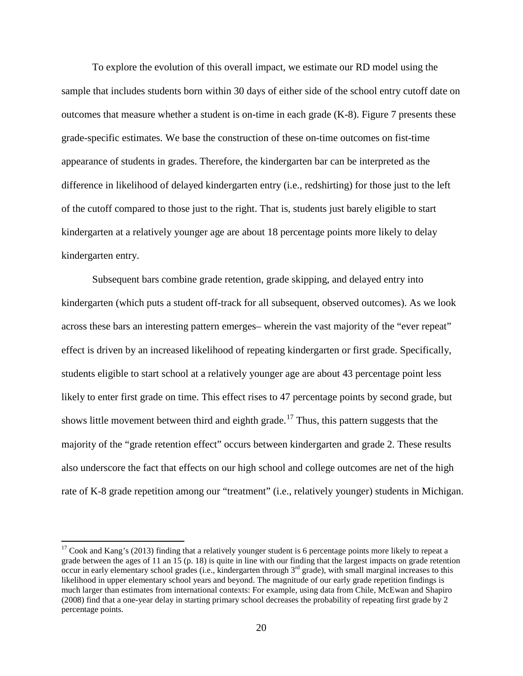To explore the evolution of this overall impact, we estimate our RD model using the sample that includes students born within 30 days of either side of the school entry cutoff date on outcomes that measure whether a student is on-time in each grade  $(K-8)$ . Figure 7 presents these grade-specific estimates. We base the construction of these on-time outcomes on fist-time appearance of students in grades. Therefore, the kindergarten bar can be interpreted as the difference in likelihood of delayed kindergarten entry (i.e., redshirting) for those just to the left of the cutoff compared to those just to the right. That is, students just barely eligible to start kindergarten at a relatively younger age are about 18 percentage points more likely to delay kindergarten entry.

Subsequent bars combine grade retention, grade skipping, and delayed entry into kindergarten (which puts a student off-track for all subsequent, observed outcomes). As we look across these bars an interesting pattern emerges– wherein the vast majority of the "ever repeat" effect is driven by an increased likelihood of repeating kindergarten or first grade. Specifically, students eligible to start school at a relatively younger age are about 43 percentage point less likely to enter first grade on time. This effect rises to 47 percentage points by second grade, but shows little movement between third and eighth grade.<sup>[17](#page-21-0)</sup> Thus, this pattern suggests that the majority of the "grade retention effect" occurs between kindergarten and grade 2. These results also underscore the fact that effects on our high school and college outcomes are net of the high rate of K-8 grade repetition among our "treatment" (i.e., relatively younger) students in Michigan.

<span id="page-21-0"></span> $17 \text{ Cook}$  and Kang's (2013) finding that a relatively younger student is 6 percentage points more likely to repeat a grade between the ages of 11 an 15 (p. 18) is quite in line with our finding that the largest impacts on grade retention occur in early elementary school grades (i.e., kindergarten through  $3<sup>rd</sup>$  grade), with small marginal increases to this likelihood in upper elementary school years and beyond. The magnitude of our early grade repetition findings is much larger than estimates from international contexts: For example, using data from Chile, McEwan and Shapiro (2008) find that a one-year delay in starting primary school decreases the probability of repeating first grade by 2 percentage points.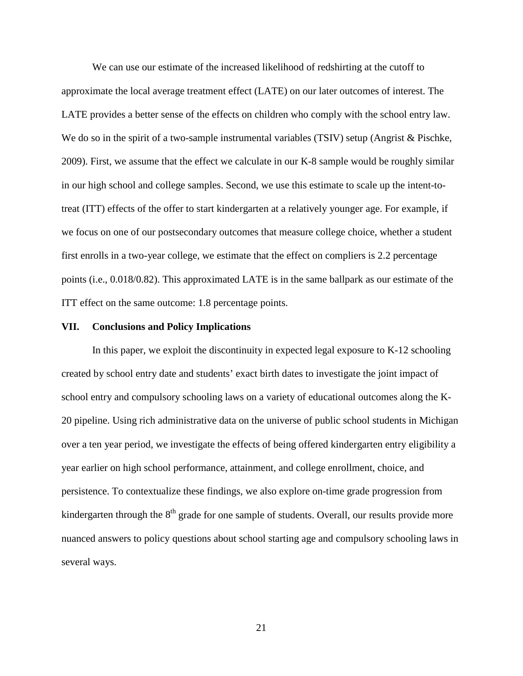We can use our estimate of the increased likelihood of redshirting at the cutoff to approximate the local average treatment effect (LATE) on our later outcomes of interest. The LATE provides a better sense of the effects on children who comply with the school entry law. We do so in the spirit of a two-sample instrumental variables (TSIV) setup (Angrist & Pischke, 2009). First, we assume that the effect we calculate in our K-8 sample would be roughly similar in our high school and college samples. Second, we use this estimate to scale up the intent-totreat (ITT) effects of the offer to start kindergarten at a relatively younger age. For example, if we focus on one of our postsecondary outcomes that measure college choice, whether a student first enrolls in a two-year college, we estimate that the effect on compliers is 2.2 percentage points (i.e., 0.018/0.82). This approximated LATE is in the same ballpark as our estimate of the ITT effect on the same outcome: 1.8 percentage points.

#### **VII. Conclusions and Policy Implications**

In this paper, we exploit the discontinuity in expected legal exposure to K-12 schooling created by school entry date and students' exact birth dates to investigate the joint impact of school entry and compulsory schooling laws on a variety of educational outcomes along the K-20 pipeline. Using rich administrative data on the universe of public school students in Michigan over a ten year period, we investigate the effects of being offered kindergarten entry eligibility a year earlier on high school performance, attainment, and college enrollment, choice, and persistence. To contextualize these findings, we also explore on-time grade progression from kindergarten through the  $8<sup>th</sup>$  grade for one sample of students. Overall, our results provide more nuanced answers to policy questions about school starting age and compulsory schooling laws in several ways.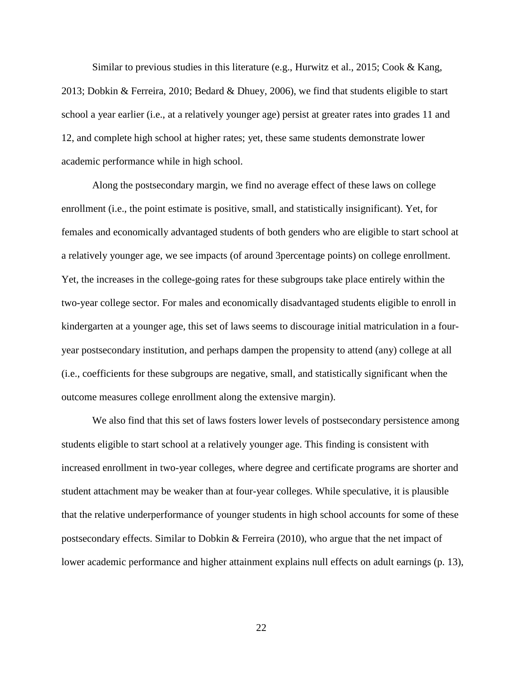Similar to previous studies in this literature (e.g., Hurwitz et al., 2015; Cook & Kang, 2013; Dobkin & Ferreira, 2010; Bedard & Dhuey, 2006), we find that students eligible to start school a year earlier (i.e., at a relatively younger age) persist at greater rates into grades 11 and 12, and complete high school at higher rates; yet, these same students demonstrate lower academic performance while in high school.

Along the postsecondary margin, we find no average effect of these laws on college enrollment (i.e., the point estimate is positive, small, and statistically insignificant). Yet, for females and economically advantaged students of both genders who are eligible to start school at a relatively younger age, we see impacts (of around 3percentage points) on college enrollment. Yet, the increases in the college-going rates for these subgroups take place entirely within the two-year college sector. For males and economically disadvantaged students eligible to enroll in kindergarten at a younger age, this set of laws seems to discourage initial matriculation in a fouryear postsecondary institution, and perhaps dampen the propensity to attend (any) college at all (i.e., coefficients for these subgroups are negative, small, and statistically significant when the outcome measures college enrollment along the extensive margin).

We also find that this set of laws fosters lower levels of postsecondary persistence among students eligible to start school at a relatively younger age. This finding is consistent with increased enrollment in two-year colleges, where degree and certificate programs are shorter and student attachment may be weaker than at four-year colleges. While speculative, it is plausible that the relative underperformance of younger students in high school accounts for some of these postsecondary effects. Similar to Dobkin & Ferreira (2010), who argue that the net impact of lower academic performance and higher attainment explains null effects on adult earnings (p. 13),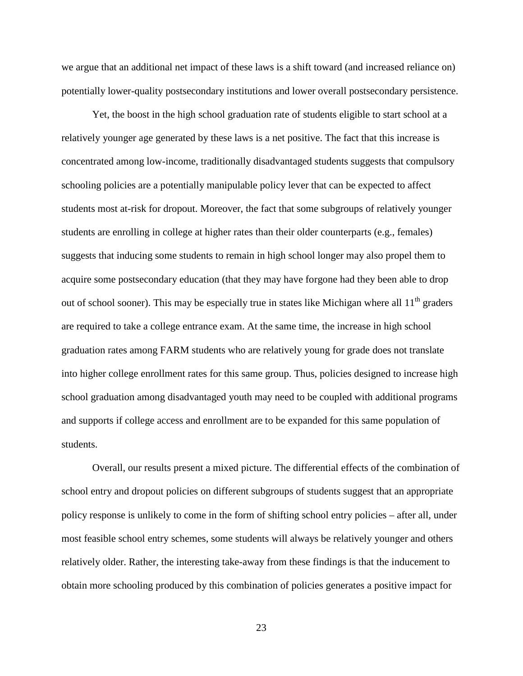we argue that an additional net impact of these laws is a shift toward (and increased reliance on) potentially lower-quality postsecondary institutions and lower overall postsecondary persistence.

Yet, the boost in the high school graduation rate of students eligible to start school at a relatively younger age generated by these laws is a net positive. The fact that this increase is concentrated among low-income, traditionally disadvantaged students suggests that compulsory schooling policies are a potentially manipulable policy lever that can be expected to affect students most at-risk for dropout. Moreover, the fact that some subgroups of relatively younger students are enrolling in college at higher rates than their older counterparts (e.g., females) suggests that inducing some students to remain in high school longer may also propel them to acquire some postsecondary education (that they may have forgone had they been able to drop out of school sooner). This may be especially true in states like Michigan where all  $11<sup>th</sup>$  graders are required to take a college entrance exam. At the same time, the increase in high school graduation rates among FARM students who are relatively young for grade does not translate into higher college enrollment rates for this same group. Thus, policies designed to increase high school graduation among disadvantaged youth may need to be coupled with additional programs and supports if college access and enrollment are to be expanded for this same population of students.

Overall, our results present a mixed picture. The differential effects of the combination of school entry and dropout policies on different subgroups of students suggest that an appropriate policy response is unlikely to come in the form of shifting school entry policies – after all, under most feasible school entry schemes, some students will always be relatively younger and others relatively older. Rather, the interesting take-away from these findings is that the inducement to obtain more schooling produced by this combination of policies generates a positive impact for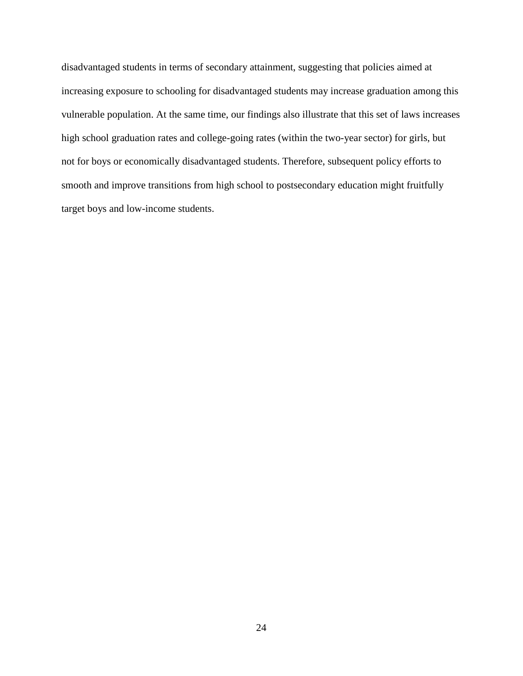disadvantaged students in terms of secondary attainment, suggesting that policies aimed at increasing exposure to schooling for disadvantaged students may increase graduation among this vulnerable population. At the same time, our findings also illustrate that this set of laws increases high school graduation rates and college-going rates (within the two-year sector) for girls, but not for boys or economically disadvantaged students. Therefore, subsequent policy efforts to smooth and improve transitions from high school to postsecondary education might fruitfully target boys and low-income students.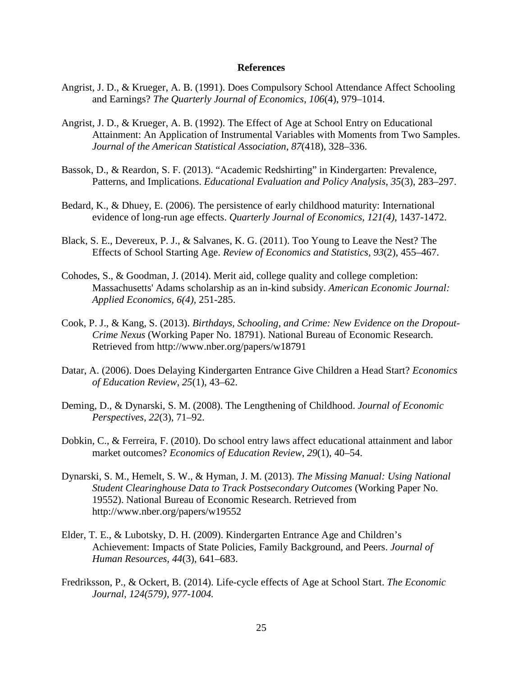#### **References**

- Angrist, J. D., & Krueger, A. B. (1991). Does Compulsory School Attendance Affect Schooling and Earnings? *The Quarterly Journal of Economics*, *106*(4), 979–1014.
- Angrist, J. D., & Krueger, A. B. (1992). The Effect of Age at School Entry on Educational Attainment: An Application of Instrumental Variables with Moments from Two Samples. *Journal of the American Statistical Association*, *87*(418), 328–336.
- Bassok, D., & Reardon, S. F. (2013). "Academic Redshirting" in Kindergarten: Prevalence, Patterns, and Implications. *Educational Evaluation and Policy Analysis*, *35*(3), 283–297.
- Bedard, K., & Dhuey, E. (2006). The persistence of early childhood maturity: International evidence of long-run age effects. *Quarterly Journal of Economics, 121(4),* 1437-1472.
- Black, S. E., Devereux, P. J., & Salvanes, K. G. (2011). Too Young to Leave the Nest? The Effects of School Starting Age. *Review of Economics and Statistics*, *93*(2), 455–467.
- Cohodes, S., & Goodman, J. (2014). Merit aid, college quality and college completion: Massachusetts' Adams scholarship as an in-kind subsidy. *American Economic Journal: Applied Economics, 6(4),* 251-285.
- Cook, P. J., & Kang, S. (2013). *Birthdays, Schooling, and Crime: New Evidence on the Dropout-Crime Nexus* (Working Paper No. 18791). National Bureau of Economic Research. Retrieved from http://www.nber.org/papers/w18791
- Datar, A. (2006). Does Delaying Kindergarten Entrance Give Children a Head Start? *Economics of Education Review*, *25*(1), 43–62.
- Deming, D., & Dynarski, S. M. (2008). The Lengthening of Childhood. *Journal of Economic Perspectives*, *22*(3), 71–92.
- Dobkin, C., & Ferreira, F. (2010). Do school entry laws affect educational attainment and labor market outcomes? *Economics of Education Review*, *29*(1), 40–54.
- Dynarski, S. M., Hemelt, S. W., & Hyman, J. M. (2013). *The Missing Manual: Using National Student Clearinghouse Data to Track Postsecondary Outcomes* (Working Paper No. 19552). National Bureau of Economic Research. Retrieved from http://www.nber.org/papers/w19552
- Elder, T. E., & Lubotsky, D. H. (2009). Kindergarten Entrance Age and Children's Achievement: Impacts of State Policies, Family Background, and Peers. *Journal of Human Resources*, *44*(3), 641–683.
- Fredriksson, P., & Ockert, B. (2014). Life-cycle effects of Age at School Start. *The Economic Journal, 124(579), 977-1004.*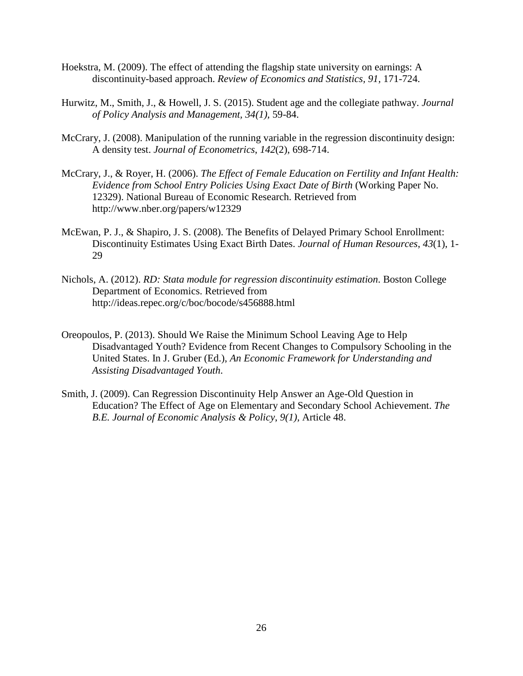- Hoekstra, M. (2009). The effect of attending the flagship state university on earnings: A discontinuity-based approach. *Review of Economics and Statistics, 91,* 171-724.
- Hurwitz, M., Smith, J., & Howell, J. S. (2015). Student age and the collegiate pathway. *Journal of Policy Analysis and Management, 34(1),* 59-84.
- McCrary, J. (2008). Manipulation of the running variable in the regression discontinuity design: A density test. *Journal of Econometrics*, *142*(2), 698-714.
- McCrary, J., & Royer, H. (2006). *The Effect of Female Education on Fertility and Infant Health: Evidence from School Entry Policies Using Exact Date of Birth* (Working Paper No. 12329). National Bureau of Economic Research. Retrieved from http://www.nber.org/papers/w12329
- McEwan, P. J., & Shapiro, J. S. (2008). The Benefits of Delayed Primary School Enrollment: Discontinuity Estimates Using Exact Birth Dates. *Journal of Human Resources*, *43*(1), 1- 29
- Nichols, A. (2012). *RD: Stata module for regression discontinuity estimation*. Boston College Department of Economics. Retrieved from http://ideas.repec.org/c/boc/bocode/s456888.html
- Oreopoulos, P. (2013). Should We Raise the Minimum School Leaving Age to Help Disadvantaged Youth? Evidence from Recent Changes to Compulsory Schooling in the United States. In J. Gruber (Ed.), *An Economic Framework for Understanding and Assisting Disadvantaged Youth*.
- Smith, J. (2009). Can Regression Discontinuity Help Answer an Age-Old Question in Education? The Effect of Age on Elementary and Secondary School Achievement. *The B.E. Journal of Economic Analysis & Policy*, *9(1),* Article 48.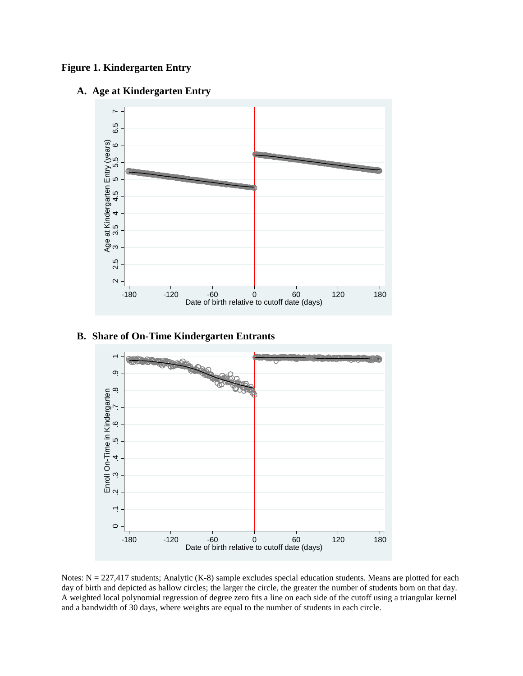# **Figure 1. Kindergarten Entry**



# **A. Age at Kindergarten Entry**

# **B. Share of On-Time Kindergarten Entrants**



Notes:  $N = 227,417$  students; Analytic (K-8) sample excludes special education students. Means are plotted for each day of birth and depicted as hallow circles; the larger the circle, the greater the number of students born on that day. A weighted local polynomial regression of degree zero fits a line on each side of the cutoff using a triangular kernel and a bandwidth of 30 days, where weights are equal to the number of students in each circle.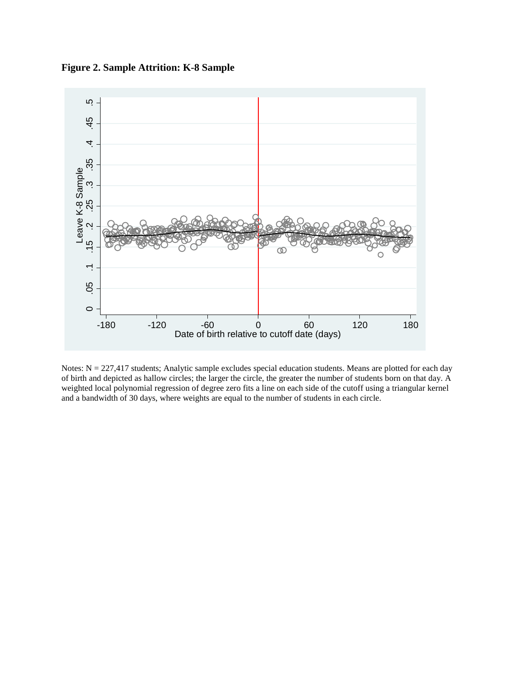**Figure 2. Sample Attrition: K-8 Sample**



Notes:  $N = 227,417$  students; Analytic sample excludes special education students. Means are plotted for each day of birth and depicted as hallow circles; the larger the circle, the greater the number of students born on that day. A weighted local polynomial regression of degree zero fits a line on each side of the cutoff using a triangular kernel and a bandwidth of 30 days, where weights are equal to the number of students in each circle.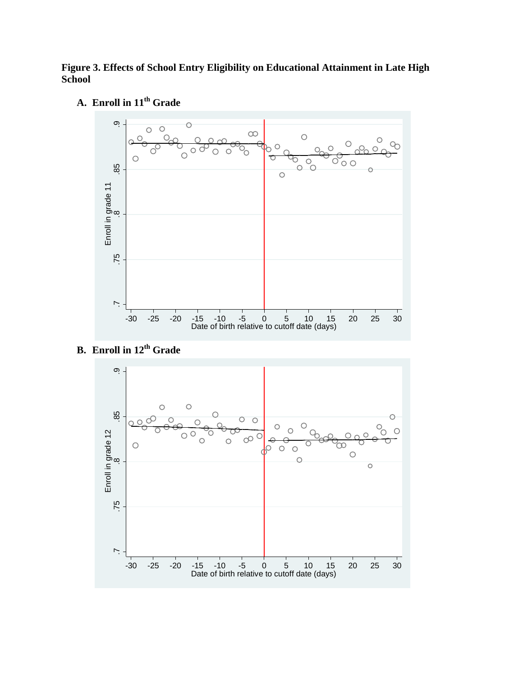**Figure 3. Effects of School Entry Eligibility on Educational Attainment in Late High School**



**A. Enroll in 11th Grade**



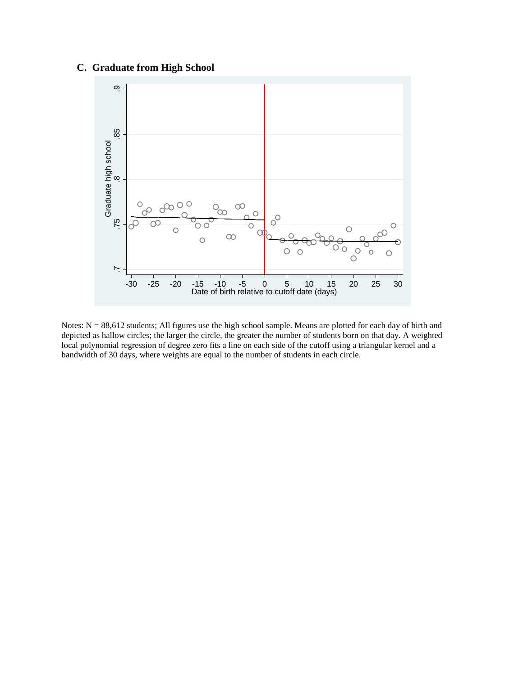# **C. Graduate from High School**



Notes:  $N = 88,612$  students; All figures use the high school sample. Means are plotted for each day of birth and depicted as hallow circles; the larger the circle, the greater the number of students born on that day. A weighted local polynomial regression of degree zero fits a line on each side of the cutoff using a triangular kernel and a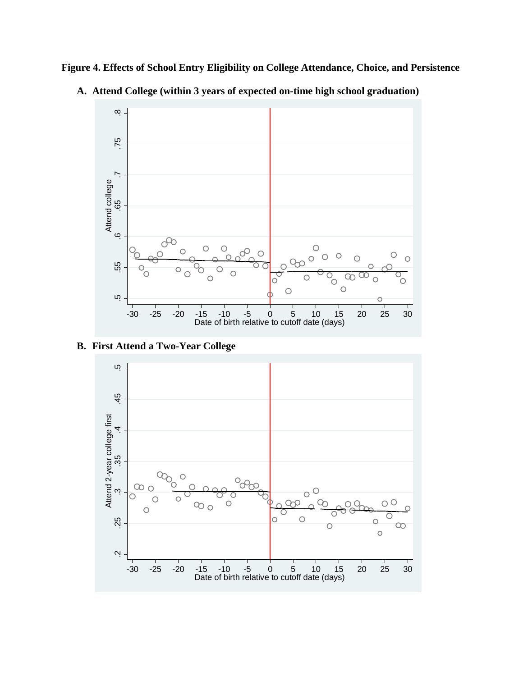**Figure 4. Effects of School Entry Eligibility on College Attendance, Choice, and Persistence**



**A. Attend College (within 3 years of expected on-time high school graduation)**

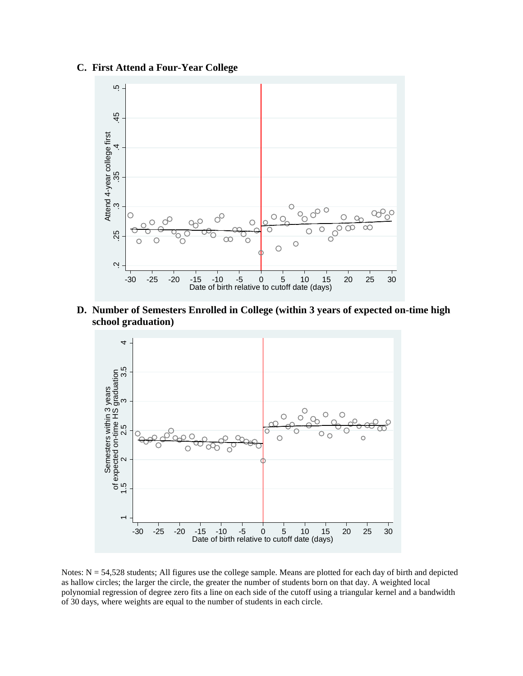# **C. First Attend a Four-Year College**



**D. Number of Semesters Enrolled in College (within 3 years of expected on-time high school graduation)**



Notes: N = 54,528 students; All figures use the college sample. Means are plotted for each day of birth and depicted as hallow circles; the larger the circle, the greater the number of students born on that day. A weighted local polynomial regression of degree zero fits a line on each side of the cutoff using a triangular kernel and a bandwidth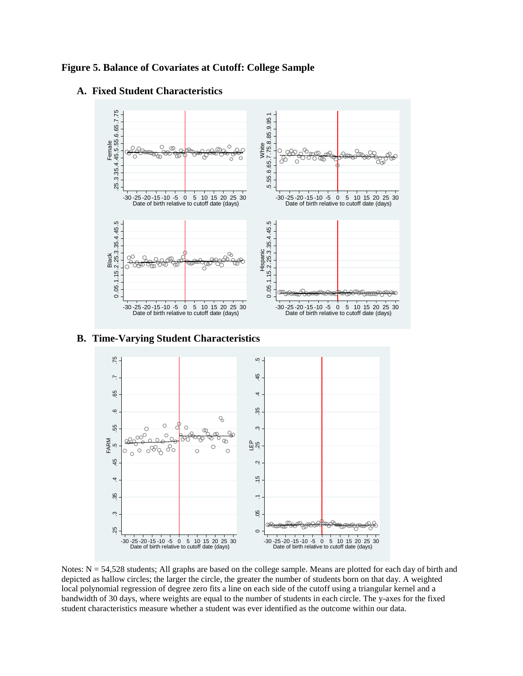# **Figure 5. Balance of Covariates at Cutoff: College Sample**



## **A. Fixed Student Characteristics**

# **B. Time-Varying Student Characteristics**



Notes:  $N = 54,528$  students; All graphs are based on the college sample. Means are plotted for each day of birth and depicted as hallow circles; the larger the circle, the greater the number of students born on that day. A weighted local polynomial regression of degree zero fits a line on each side of the cutoff using a triangular kernel and a bandwidth of 30 days, where weights are equal to the number of students in each circle. The y-axes for the fixed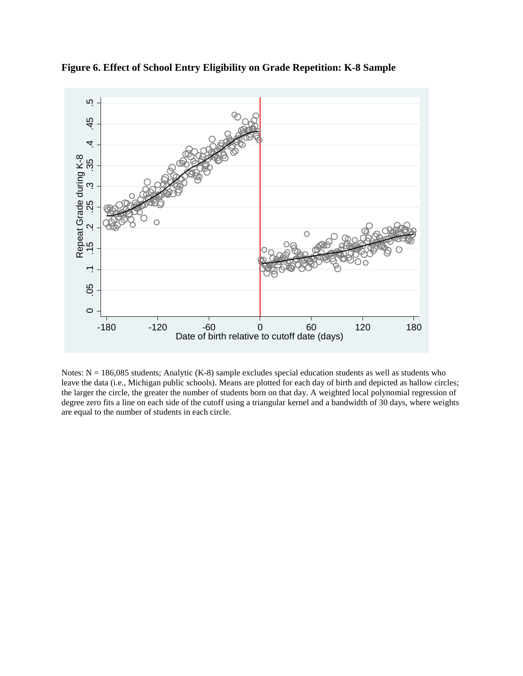

**Figure 6. Effect of School Entry Eligibility on Grade Repetition: K-8 Sample**

Notes:  $N = 186,085$  students; Analytic (K-8) sample excludes special education students as well as students who leave the data (i.e., Michigan public schools). Means are plotted for each day of birth and depicted as hallow circles; the larger the circle, the greater the number of students born on that day. A weighted local polynomial regression of degree zero fits a line on each side of the cutoff using a triangular kernel and a bandwidth of 30 days, where weights are equal to the number of students in each circle.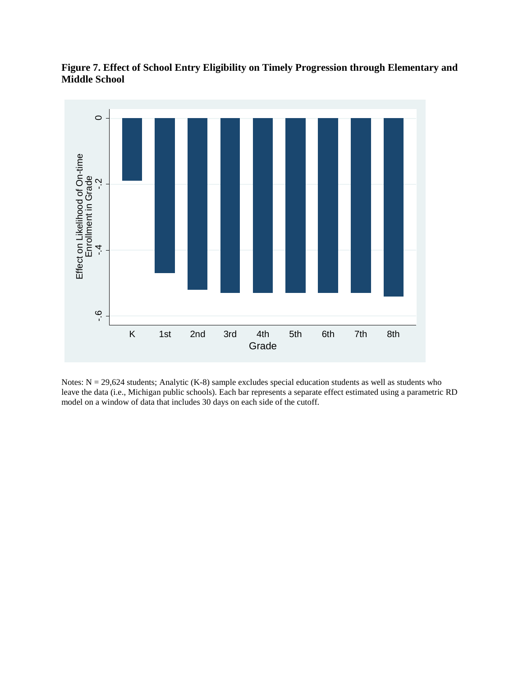



Notes: N = 29,624 students; Analytic (K-8) sample excludes special education students as well as students who leave the data (i.e., Michigan public schools). Each bar represents a separate effect estimated using a parametric RD model on a window of data that includes 30 days on each side of the cutoff.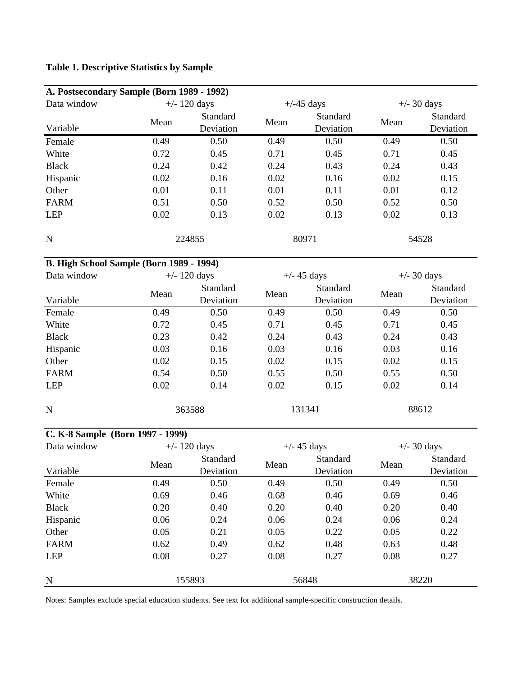# **Table 1. Descriptive Statistics by Sample**

| A. Postsecondary Sample (Born 1989 - 1992) |      |                        |      |              |               |           |  |  |  |  |  |
|--------------------------------------------|------|------------------------|------|--------------|---------------|-----------|--|--|--|--|--|
| Data window                                |      | $+/- 120 \text{ days}$ |      | $+/-45$ days | $+/-$ 30 days |           |  |  |  |  |  |
|                                            | Mean | Standard               | Mean | Standard     | Mean          | Standard  |  |  |  |  |  |
| Variable                                   |      | Deviation              |      | Deviation    |               | Deviation |  |  |  |  |  |
| Female                                     | 0.49 | 0.50                   | 0.49 | 0.50         | 0.49          | 0.50      |  |  |  |  |  |
| White                                      | 0.72 | 0.45                   | 0.71 | 0.45         | 0.71          | 0.45      |  |  |  |  |  |
| <b>Black</b>                               | 0.24 | 0.42                   | 0.24 | 0.43         | 0.24          | 0.43      |  |  |  |  |  |
| Hispanic                                   | 0.02 | 0.16                   | 0.02 | 0.16         | 0.02          | 0.15      |  |  |  |  |  |
| Other                                      | 0.01 | 0.11                   | 0.01 | 0.11         | 0.01          | 0.12      |  |  |  |  |  |
| <b>FARM</b>                                | 0.51 | 0.50                   | 0.52 | 0.50         | 0.52          | 0.50      |  |  |  |  |  |
| LEP                                        | 0.02 | 0.13                   | 0.02 | 0.13         | 0.02          | 0.13      |  |  |  |  |  |
| $\mathbf N$                                |      | 224855                 |      | 80971        | 54528         |           |  |  |  |  |  |
| B. High School Sample (Born 1989 - 1994)   |      |                        |      |              |               |           |  |  |  |  |  |

| Data window  |      | $+/- 120 \text{ days}$ |      | $+/- 45$ days         | $+/-$ 30 days |                       |  |
|--------------|------|------------------------|------|-----------------------|---------------|-----------------------|--|
| Variable     | Mean | Standard<br>Deviation  | Mean | Standard<br>Deviation | Mean          | Standard<br>Deviation |  |
| Female       | 0.49 | 0.50                   | 0.49 | 0.50                  | 0.49          | 0.50                  |  |
| White        | 0.72 | 0.45                   | 0.71 | 0.45                  | 0.71          | 0.45                  |  |
| <b>Black</b> | 0.23 | 0.42                   | 0.24 | 0.43                  | 0.24          | 0.43                  |  |
| Hispanic     | 0.03 | 0.16                   | 0.03 | 0.16                  | 0.03          | 0.16                  |  |
| Other        | 0.02 | 0.15                   | 0.02 | 0.15                  | 0.02          | 0.15                  |  |
| <b>FARM</b>  | 0.54 | 0.50                   | 0.55 | 0.50                  | 0.55          | 0.50                  |  |
| LEP          | 0.02 | 0.14                   | 0.02 | 0.15                  | 0.02          | 0.14                  |  |
| N            |      | 363588                 |      | 131341                |               | 88612                 |  |

# **C. K-8 Sample (Born 1997 - 1999)**

| Data window  | $+/- 120 \text{ days}$ |                       |      | $+/- 45$ days         | $+/-$ 30 days |                       |  |
|--------------|------------------------|-----------------------|------|-----------------------|---------------|-----------------------|--|
| Variable     | Mean                   | Standard<br>Deviation | Mean | Standard<br>Deviation | Mean          | Standard<br>Deviation |  |
|              |                        |                       |      |                       |               |                       |  |
| Female       | 0.49                   | 0.50                  | 0.49 | 0.50                  | 0.49          | 0.50                  |  |
| White        | 0.69                   | 0.46                  | 0.68 | 0.46                  | 0.69          | 0.46                  |  |
| <b>Black</b> | 0.20                   | 0.40                  | 0.20 | 0.40                  | 0.20          | 0.40                  |  |
| Hispanic     | 0.06                   | 0.24                  | 0.06 | 0.24                  | 0.06          | 0.24                  |  |
| Other        | 0.05                   | 0.21                  | 0.05 | 0.22                  | 0.05          | 0.22                  |  |
| <b>FARM</b>  | 0.62                   | 0.49                  | 0.62 | 0.48                  | 0.63          | 0.48                  |  |
| <b>LEP</b>   | 0.08                   | 0.27                  | 0.08 | 0.27                  | 0.08          | 0.27                  |  |
| N            |                        | 155893                |      | 56848                 |               | 38220                 |  |

Notes: Samples exclude special education students. See text for additional sample-specific construction details.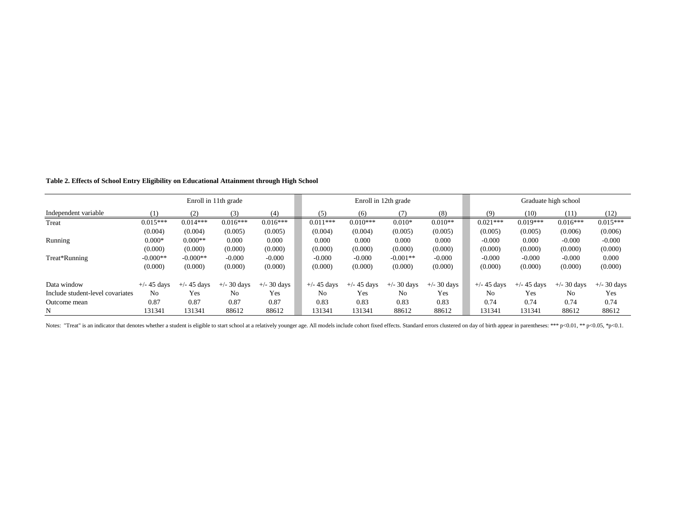|                                  |               |               | Enroll in 11th grade |               |                |               | Enroll in 12th grade |               | Graduate high school |               |                |                     |
|----------------------------------|---------------|---------------|----------------------|---------------|----------------|---------------|----------------------|---------------|----------------------|---------------|----------------|---------------------|
| Independent variable             |               | (2)           | (3)                  | (4)           | (5)            | (6)           |                      | (8)           | (9)                  | (10)          | (11)           | (12)                |
| Treat                            | $0.015***$    | $0.014***$    | $0.016***$           | $0.016***$    | $0.011***$     | $0.010***$    | $0.010*$             | $0.010**$     | $0.021***$           | $0.019***$    | $0.016***$     | $0.015***$          |
|                                  | (0.004)       | (0.004)       | (0.005)              | (0.005)       | (0.004)        | (0.004)       | (0.005)              | (0.005)       | (0.005)              | (0.005)       | (0.006)        | (0.006)             |
| Running                          | $0.000*$      | $0.000**$     | 0.000                | 0.000         | 0.000          | 0.000         | 0.000                | 0.000         | $-0.000$             | 0.000         | $-0.000$       | $-0.000$            |
|                                  | (0.000)       | (0.000)       | (0.000)              | (0.000)       | (0.000)        | (0.000)       | (0.000)              | (0.000)       | (0.000)              | (0.000)       | (0.000)        | (0.000)             |
| Treat*Running                    | $-0.000**$    | $-0.000**$    | $-0.000$             | $-0.000$      | $-0.000$       | $-0.000$      | $-0.001**$           | $-0.000$      | $-0.000$             | $-0.000$      | $-0.000$       | 0.000               |
|                                  | (0.000)       | (0.000)       | (0.000)              | (0.000)       | (0.000)        | (0.000)       | (0.000)              | (0.000)       | (0.000)              | (0.000)       | (0.000)        | (0.000)             |
| Data window                      | $+/- 45$ days | $+/- 45$ days | $+/-$ 30 days        | $+/-$ 30 days | $+/- 45$ days  | $+/- 45$ days | $+/-$ 30 days        | $+/-$ 30 days | $+/- 45$ days        | $+/- 45$ days | $+/-$ 30 days  | $+\prime$ - 30 days |
| Include student-level covariates | No.           | Yes           | No                   | Yes           | N <sub>0</sub> | Yes           | N <sub>0</sub>       | Yes           | N <sub>0</sub>       | Yes           | N <sub>0</sub> | Yes                 |
| Outcome mean                     | 0.87          | 0.87          | 0.87                 | 0.87          | 0.83           | 0.83          | 0.83                 | 0.83          | 0.74                 | 0.74          | 0.74           | 0.74                |
| N                                | 131341        | 131341        | 88612                | 88612         | 131341         | 131341        | 88612                | 88612         | 131341               | 131341        | 88612          | 88612               |

**Table 2. Effects of School Entry Eligibility on Educational Attainment through High School**

Notes: "Treat" is an indicator that denotes whether a student is eligible to start school at a relatively younger age. All models include cohort fixed effects. Standard errors clustered on day of birth appear in parenthese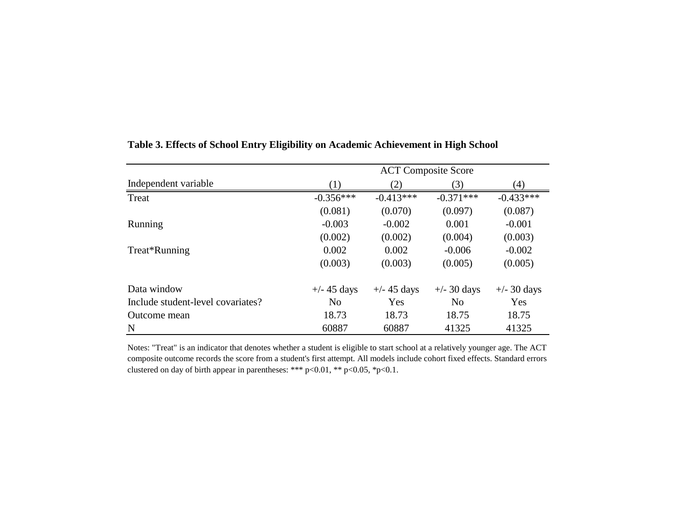| Independent variable              | (1)                   | (2)                   | (3)            | (4)           |
|-----------------------------------|-----------------------|-----------------------|----------------|---------------|
| Treat                             | $-0.356***$           | $-0.413***$           | $-0.371***$    | $-0.433***$   |
|                                   | (0.081)               | (0.070)               | (0.097)        | (0.087)       |
| Running                           | $-0.003$              | $-0.002$              | 0.001          | $-0.001$      |
|                                   | (0.002)               | (0.002)               | (0.004)        | (0.003)       |
| Treat*Running                     | 0.002                 | 0.002                 | $-0.006$       | $-0.002$      |
|                                   | (0.003)               | (0.003)               | (0.005)        | (0.005)       |
| Data window                       | $+/- 45 \text{ days}$ | $+/- 45 \text{ days}$ | $+/-$ 30 days  | $+/-$ 30 days |
| Include student-level covariates? | N <sub>o</sub>        | Yes                   | N <sub>0</sub> | Yes           |
| Outcome mean                      | 18.73                 | 18.73                 | 18.75          | 18.75         |
| N                                 | 60887                 | 60887                 | 41325          | 41325         |

# **Table 3. Effects of School Entry Eligibility on Academic Achievement in High School**

Notes: "Treat" is an indicator that denotes whether a student is eligible to start school at a relatively younger age. The ACT composite outcome records the score from a student's first attempt. All models include cohort fixed effects. Standard errors clustered on day of birth appear in parentheses: \*\*\* p<0.01, \*\* p<0.05, \*p<0.1.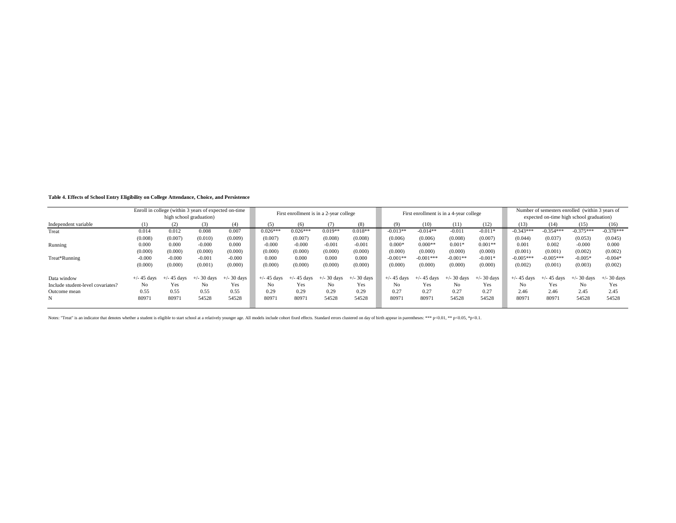**Table 4. Effects of School Entry Eligibility on College Attendance, Choice, and Persistence**

|                                   | Enroll in college (within 3 years of expected on-time<br>high school graduation) |               |               |             | First enrollment is in a 2-year college |               |                |               | First enrollment is in a 4-year college |               |                |               | Number of semesters enrolled (within 3 years of<br>expected on-time high school graduation) |               |               |               |
|-----------------------------------|----------------------------------------------------------------------------------|---------------|---------------|-------------|-----------------------------------------|---------------|----------------|---------------|-----------------------------------------|---------------|----------------|---------------|---------------------------------------------------------------------------------------------|---------------|---------------|---------------|
| Independent variable              | (1)                                                                              | (2)           | (3)           | (4)         | (5)                                     | (6)           | (7)            | (8)           | (9)                                     | (10)          | (11)           | (12)          | (13)                                                                                        | (14)          | (15)          | (16)          |
| Treat                             | 0.014                                                                            | 0.012         | 0.008         | 0.007       | $0.026***$                              | $0.026***$    | $0.019**$      | $0.018**$     | $-0.013**$                              | $-0.014**$    | $-0.011$       | $-0.011*$     | $-0.343***$                                                                                 | $-0.354***$   | $-0.375***$   | $-0.378***$   |
|                                   | (0.008)                                                                          | (0.007)       | (0.010)       | (0.009)     | (0.007)                                 | (0.007)       | (0.008)        | (0.008)       | (0.006)                                 | (0.006)       | (0.008)        | (0.007)       | (0.044)                                                                                     | (0.037)       | (0.053)       | (0.045)       |
| Running                           | 0.000                                                                            | 0.000         | $-0.000$      | 0.000       | $-0.000$                                | $-0.000$      | $-0.001$       | $-0.001$      | $0.000*$                                | $0.000**$     | $0.001*$       | $0.001**$     | 0.001                                                                                       | 0.002         | $-0.000$      | 0.000         |
|                                   | (0.000)                                                                          | (0.000)       | (0.000)       | (0.000)     | (0.000)                                 | (0.000)       | (0.000)        | (0.000)       | (0.000)                                 | (0.000)       | (0.000)        | (0.000)       | (0.001)                                                                                     | (0.001)       | (0.002)       | (0.002)       |
| Treat*Running                     | $-0.000$                                                                         | $-0.000$      | $-0.001$      | $-0.000$    | 0.000                                   | 0.000         | 0.000          | 0.000         | $-0.001**$                              | $-0.001***$   | $-0.001**$     | $-0.001*$     | $-0.005***$                                                                                 | $-0.005***$   | $-0.005*$     | $-0.004*$     |
|                                   | (0.000)                                                                          | (0.000)       | (0.001)       | (0.000)     | (0.000)                                 | (0.000)       | (0.000)        | (0.000)       | (0.000)                                 | (0.000)       | (0.000)        | (0.000)       | (0.002)                                                                                     | (0.001)       | (0.003)       | (0.002)       |
| Data window                       | $+/-$ 45 days                                                                    | $+/- 45$ days | $+/-$ 30 days | -/- 30 days | $+/- 45$ days                           | $+/- 45$ days | $+/- 30$ days  | $+/-$ 30 days | $+/- 45$ days                           | $+/- 45$ days | $+/-$ 30 days  | $+/-$ 30 days | $+/- 45$ days                                                                               | $+/- 45$ days | $+/-$ 30 days | $+/-$ 30 days |
| Include student-level covariates? | N <sub>0</sub>                                                                   | Yes           | No            | Yes         | N <sub>0</sub>                          | Yes           | N <sub>0</sub> | Yes           | No.                                     | Yes           | N <sub>0</sub> | Yes           | No.                                                                                         | Yes           | No            | Yes           |
| Outcome mean                      | 0.55                                                                             | 0.55          | 0.55          | 0.55        | 0.29                                    | 0.29          | 0.29           | 0.29          | 0.27                                    | 0.27          | 0.27           | 0.27          | 2.46                                                                                        | 2.46          | 2.45          | 2.45          |
| N                                 | 80971                                                                            | 80971         | 54528         | 54528       | 80971                                   | 80971         | 54528          | 54528         | 8097                                    | 80971         | 54528          | 54528         | 80971                                                                                       | 80971         | 54528         | 54528         |

Notes: "Treat" is an indicator that denotes whether a student is eligible to start school at a relatively younger age. All models include cohort fixed effects. Standard errors clustered on day of birth appear in parenthese